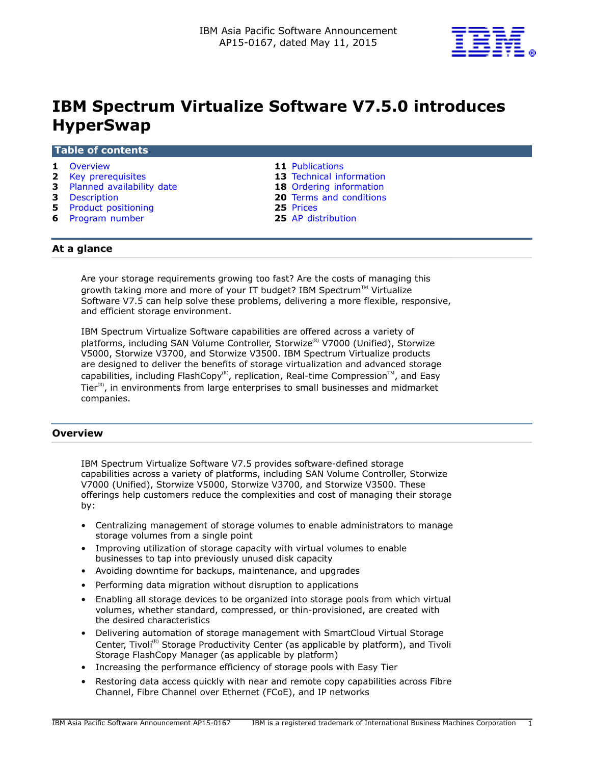

# **IBM Spectrum Virtualize Software V7.5.0 introduces HyperSwap**

#### **Table of contents**

- 
- **2** [Key prerequisites](#page-1-0) **13** [Technical information](#page-12-0)
- **3** [Planned availability date](#page-2-0) **18** [Ordering information](#page-17-0)
- 
- **5** [Product positioning](#page-4-0)<br> **6** Program number<br> **25** AP distribution
- **6** [Program number](#page-5-0)
- **1** [Overview](#page-0-0) **11** [Publications](#page-10-0)
	-
	-
- **3** [Description](#page-2-1) **20** [Terms and conditions](#page-19-0)<br> **25** Product positioning **25** Prices
	-

# **At a glance**

Are your storage requirements growing too fast? Are the costs of managing this growth taking more and more of your IT budget? IBM Spectrum<sup>™</sup> Virtualize Software V7.5 can help solve these problems, delivering a more flexible, responsive, and efficient storage environment.

IBM Spectrum Virtualize Software capabilities are offered across a variety of platforms, including SAN Volume Controller, Storwize<sup>(R)</sup> V7000 (Unified), Storwize V5000, Storwize V3700, and Storwize V3500. IBM Spectrum Virtualize products are designed to deliver the benefits of storage virtualization and advanced storage capabilities, including FlashCopy<sup>(R)</sup>, replication, Real-time Compression<sup>TM</sup>, and Easy Tier $(R)$ , in environments from large enterprises to small businesses and midmarket companies.

# <span id="page-0-0"></span>**Overview**

IBM Spectrum Virtualize Software V7.5 provides software-defined storage capabilities across a variety of platforms, including SAN Volume Controller, Storwize V7000 (Unified), Storwize V5000, Storwize V3700, and Storwize V3500. These offerings help customers reduce the complexities and cost of managing their storage by:

- Centralizing management of storage volumes to enable administrators to manage storage volumes from a single point
- Improving utilization of storage capacity with virtual volumes to enable businesses to tap into previously unused disk capacity
- Avoiding downtime for backups, maintenance, and upgrades
- Performing data migration without disruption to applications
- Enabling all storage devices to be organized into storage pools from which virtual volumes, whether standard, compressed, or thin-provisioned, are created with the desired characteristics
- Delivering automation of storage management with SmartCloud Virtual Storage Center, Tivoli<sup>(R)</sup> Storage Productivity Center (as applicable by platform), and Tivoli Storage FlashCopy Manager (as applicable by platform)
- Increasing the performance efficiency of storage pools with Easy Tier
- Restoring data access quickly with near and remote copy capabilities across Fibre Channel, Fibre Channel over Ethernet (FCoE), and IP networks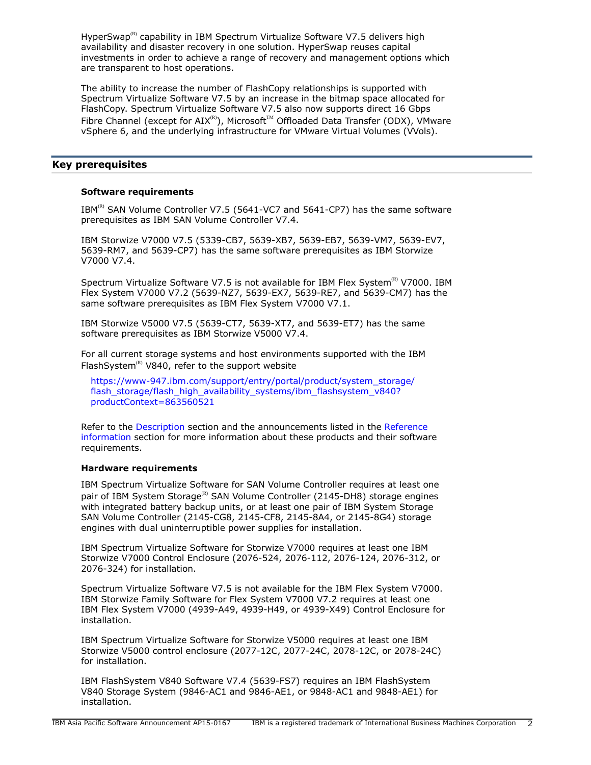HyperSwap<sup>(R)</sup> capability in IBM Spectrum Virtualize Software V7.5 delivers high availability and disaster recovery in one solution. HyperSwap reuses capital investments in order to achieve a range of recovery and management options which are transparent to host operations.

The ability to increase the number of FlashCopy relationships is supported with Spectrum Virtualize Software V7.5 by an increase in the bitmap space allocated for FlashCopy. Spectrum Virtualize Software V7.5 also now supports direct 16 Gbps Fibre Channel (except for AIX<sup>(R)</sup>), Microsoft<sup>TM</sup> Offloaded Data Transfer (ODX), VMware vSphere 6, and the underlying infrastructure for VMware Virtual Volumes (VVols).

# <span id="page-1-0"></span>**Key prerequisites**

#### **Software requirements**

IBM<sup>(R)</sup> SAN Volume Controller V7.5 (5641-VC7 and 5641-CP7) has the same software prerequisites as IBM SAN Volume Controller V7.4.

IBM Storwize V7000 V7.5 (5339-CB7, 5639-XB7, 5639-EB7, 5639-VM7, 5639-EV7, 5639-RM7, and 5639-CP7) has the same software prerequisites as IBM Storwize V7000 V7.4.

Spectrum Virtualize Software V7.5 is not available for IBM Flex System ${}^{\textrm{\tiny{(R)}}}$  V7000. IBM Flex System V7000 V7.2 (5639-NZ7, 5639-EX7, 5639-RE7, and 5639-CM7) has the same software prerequisites as IBM Flex System V7000 V7.1.

IBM Storwize V5000 V7.5 (5639-CT7, 5639-XT7, and 5639-ET7) has the same software prerequisites as IBM Storwize V5000 V7.4.

For all current storage systems and host environments supported with the IBM FlashSystem<sup>(R)</sup> V840, refer to the support website

[https://www-947.ibm.com/support/entry/portal/product/system\\_storage/](https://www-947.ibm.com/support/entry/portal/product/system_storage/flash_storage/flash_high_availability_systems/ibm_flashsystem_v840?productContext=863560521) [flash\\_storage/flash\\_high\\_availability\\_systems/ibm\\_flashsystem\\_v840?](https://www-947.ibm.com/support/entry/portal/product/system_storage/flash_storage/flash_high_availability_systems/ibm_flashsystem_v840?productContext=863560521) [productContext=863560521](https://www-947.ibm.com/support/entry/portal/product/system_storage/flash_storage/flash_high_availability_systems/ibm_flashsystem_v840?productContext=863560521)

Refer to the [Description](#page-2-1) section and the announcements listed in the [Reference](#page-4-1) [information](#page-4-1) section for more information about these products and their software requirements.

### **Hardware requirements**

IBM Spectrum Virtualize Software for SAN Volume Controller requires at least one pair of IBM System Storage<sup>(R)</sup> SAN Volume Controller (2145-DH8) storage engines with integrated battery backup units, or at least one pair of IBM System Storage SAN Volume Controller (2145-CG8, 2145-CF8, 2145-8A4, or 2145-8G4) storage engines with dual uninterruptible power supplies for installation.

IBM Spectrum Virtualize Software for Storwize V7000 requires at least one IBM Storwize V7000 Control Enclosure (2076-524, 2076-112, 2076-124, 2076-312, or 2076-324) for installation.

Spectrum Virtualize Software V7.5 is not available for the IBM Flex System V7000. IBM Storwize Family Software for Flex System V7000 V7.2 requires at least one IBM Flex System V7000 (4939-A49, 4939-H49, or 4939-X49) Control Enclosure for installation.

IBM Spectrum Virtualize Software for Storwize V5000 requires at least one IBM Storwize V5000 control enclosure (2077-12C, 2077-24C, 2078-12C, or 2078-24C) for installation.

IBM FlashSystem V840 Software V7.4 (5639-FS7) requires an IBM FlashSystem V840 Storage System (9846-AC1 and 9846-AE1, or 9848-AC1 and 9848-AE1) for installation.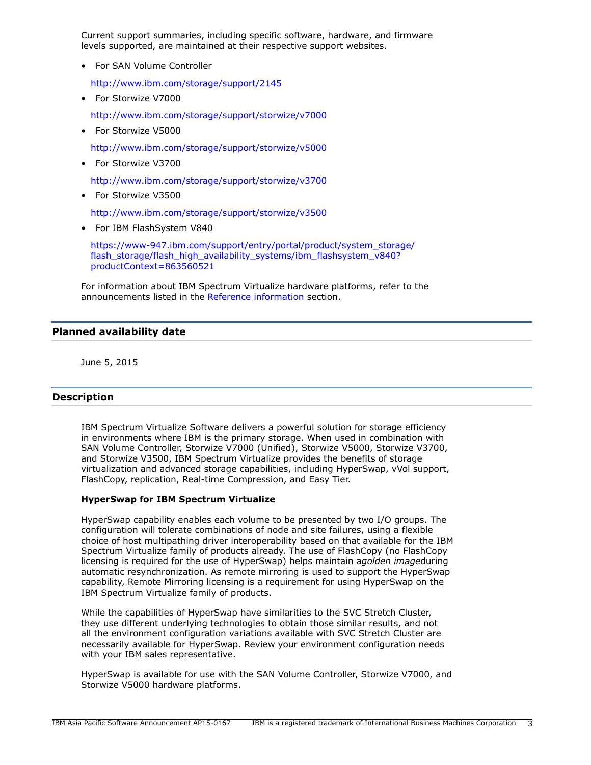Current support summaries, including specific software, hardware, and firmware levels supported, are maintained at their respective support websites.

• For SAN Volume Controller

<http://www.ibm.com/storage/support/2145>

• For Storwize V7000

<http://www.ibm.com/storage/support/storwize/v7000>

• For Storwize V5000

<http://www.ibm.com/storage/support/storwize/v5000>

• For Storwize V3700

<http://www.ibm.com/storage/support/storwize/v3700>

• For Storwize V3500

<http://www.ibm.com/storage/support/storwize/v3500>

• For IBM FlashSystem V840

[https://www-947.ibm.com/support/entry/portal/product/system\\_storage/](https://www-947.ibm.com/support/entry/portal/product/system_storage/flash_storage/flash_high_availability_systems/ibm_flashsystem_v840?productContext=863560521) [flash\\_storage/flash\\_high\\_availability\\_systems/ibm\\_flashsystem\\_v840?](https://www-947.ibm.com/support/entry/portal/product/system_storage/flash_storage/flash_high_availability_systems/ibm_flashsystem_v840?productContext=863560521) [productContext=863560521](https://www-947.ibm.com/support/entry/portal/product/system_storage/flash_storage/flash_high_availability_systems/ibm_flashsystem_v840?productContext=863560521)

For information about IBM Spectrum Virtualize hardware platforms, refer to the announcements listed in the [Reference information](#page-4-1) section.

# <span id="page-2-0"></span>**Planned availability date**

June 5, 2015

# <span id="page-2-1"></span>**Description**

IBM Spectrum Virtualize Software delivers a powerful solution for storage efficiency in environments where IBM is the primary storage. When used in combination with SAN Volume Controller, Storwize V7000 (Unified), Storwize V5000, Storwize V3700, and Storwize V3500, IBM Spectrum Virtualize provides the benefits of storage virtualization and advanced storage capabilities, including HyperSwap, vVol support, FlashCopy, replication, Real-time Compression, and Easy Tier.

## **HyperSwap for IBM Spectrum Virtualize**

HyperSwap capability enables each volume to be presented by two I/O groups. The configuration will tolerate combinations of node and site failures, using a flexible choice of host multipathing driver interoperability based on that available for the IBM Spectrum Virtualize family of products already. The use of FlashCopy (no FlashCopy licensing is required for the use of HyperSwap) helps maintain a*golden image*during automatic resynchronization. As remote mirroring is used to support the HyperSwap capability, Remote Mirroring licensing is a requirement for using HyperSwap on the IBM Spectrum Virtualize family of products.

While the capabilities of HyperSwap have similarities to the SVC Stretch Cluster, they use different underlying technologies to obtain those similar results, and not all the environment configuration variations available with SVC Stretch Cluster are necessarily available for HyperSwap. Review your environment configuration needs with your IBM sales representative.

HyperSwap is available for use with the SAN Volume Controller, Storwize V7000, and Storwize V5000 hardware platforms.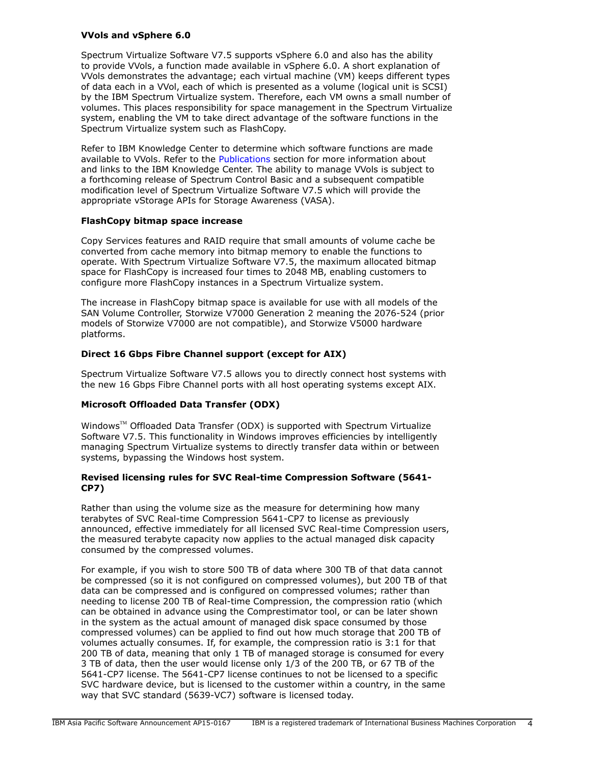# **VVols and vSphere 6.0**

Spectrum Virtualize Software V7.5 supports vSphere 6.0 and also has the ability to provide VVols, a function made available in vSphere 6.0. A short explanation of VVols demonstrates the advantage; each virtual machine (VM) keeps different types of data each in a VVol, each of which is presented as a volume (logical unit is SCSI) by the IBM Spectrum Virtualize system. Therefore, each VM owns a small number of volumes. This places responsibility for space management in the Spectrum Virtualize system, enabling the VM to take direct advantage of the software functions in the Spectrum Virtualize system such as FlashCopy.

Refer to IBM Knowledge Center to determine which software functions are made available to VVols. Refer to the [Publications](#page-10-0) section for more information about and links to the IBM Knowledge Center. The ability to manage VVols is subject to a forthcoming release of Spectrum Control Basic and a subsequent compatible modification level of Spectrum Virtualize Software V7.5 which will provide the appropriate vStorage APIs for Storage Awareness (VASA).

# **FlashCopy bitmap space increase**

Copy Services features and RAID require that small amounts of volume cache be converted from cache memory into bitmap memory to enable the functions to operate. With Spectrum Virtualize Software V7.5, the maximum allocated bitmap space for FlashCopy is increased four times to 2048 MB, enabling customers to configure more FlashCopy instances in a Spectrum Virtualize system.

The increase in FlashCopy bitmap space is available for use with all models of the SAN Volume Controller, Storwize V7000 Generation 2 meaning the 2076-524 (prior models of Storwize V7000 are not compatible), and Storwize V5000 hardware platforms.

# **Direct 16 Gbps Fibre Channel support (except for AIX)**

Spectrum Virtualize Software V7.5 allows you to directly connect host systems with the new 16 Gbps Fibre Channel ports with all host operating systems except AIX.

# **Microsoft Offloaded Data Transfer (ODX)**

Windows™ Offloaded Data Transfer (ODX) is supported with Spectrum Virtualize Software V7.5. This functionality in Windows improves efficiencies by intelligently managing Spectrum Virtualize systems to directly transfer data within or between systems, bypassing the Windows host system.

# **Revised licensing rules for SVC Real-time Compression Software (5641- CP7)**

Rather than using the volume size as the measure for determining how many terabytes of SVC Real-time Compression 5641-CP7 to license as previously announced, effective immediately for all licensed SVC Real-time Compression users, the measured terabyte capacity now applies to the actual managed disk capacity consumed by the compressed volumes.

For example, if you wish to store 500 TB of data where 300 TB of that data cannot be compressed (so it is not configured on compressed volumes), but 200 TB of that data can be compressed and is configured on compressed volumes; rather than needing to license 200 TB of Real-time Compression, the compression ratio (which can be obtained in advance using the Comprestimator tool, or can be later shown in the system as the actual amount of managed disk space consumed by those compressed volumes) can be applied to find out how much storage that 200 TB of volumes actually consumes. If, for example, the compression ratio is 3:1 for that 200 TB of data, meaning that only 1 TB of managed storage is consumed for every 3 TB of data, then the user would license only 1/3 of the 200 TB, or 67 TB of the 5641-CP7 license. The 5641-CP7 license continues to not be licensed to a specific SVC hardware device, but is licensed to the customer within a country, in the same way that SVC standard (5639-VC7) software is licensed today.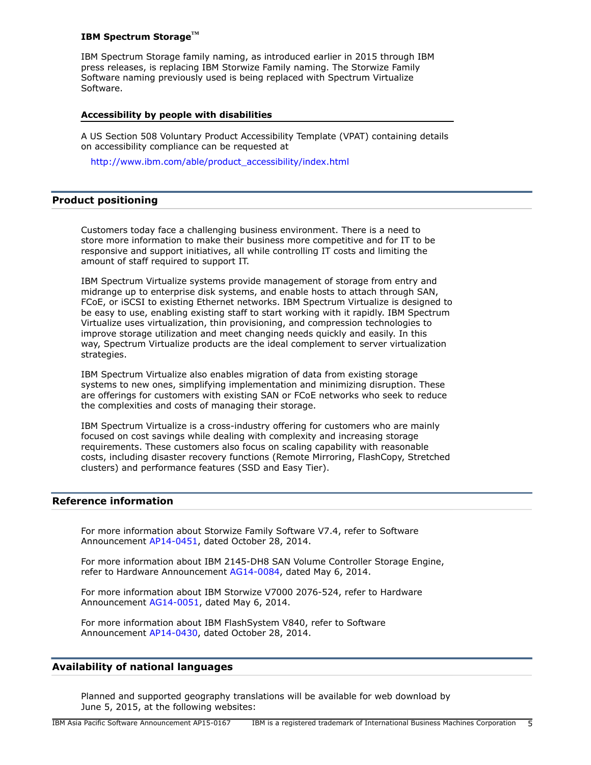#### **IBM Spectrum StorageTM**

IBM Spectrum Storage family naming, as introduced earlier in 2015 through IBM press releases, is replacing IBM Storwize Family naming. The Storwize Family Software naming previously used is being replaced with Spectrum Virtualize Software.

### **Accessibility by people with disabilities**

A US Section 508 Voluntary Product Accessibility Template (VPAT) containing details on accessibility compliance can be requested at

[http://www.ibm.com/able/product\\_accessibility/index.html](http://www.ibm.com/able/product_accessibility/index.html)

# <span id="page-4-0"></span>**Product positioning**

Customers today face a challenging business environment. There is a need to store more information to make their business more competitive and for IT to be responsive and support initiatives, all while controlling IT costs and limiting the amount of staff required to support IT.

IBM Spectrum Virtualize systems provide management of storage from entry and midrange up to enterprise disk systems, and enable hosts to attach through SAN, FCoE, or iSCSI to existing Ethernet networks. IBM Spectrum Virtualize is designed to be easy to use, enabling existing staff to start working with it rapidly. IBM Spectrum Virtualize uses virtualization, thin provisioning, and compression technologies to improve storage utilization and meet changing needs quickly and easily. In this way, Spectrum Virtualize products are the ideal complement to server virtualization strategies.

IBM Spectrum Virtualize also enables migration of data from existing storage systems to new ones, simplifying implementation and minimizing disruption. These are offerings for customers with existing SAN or FCoE networks who seek to reduce the complexities and costs of managing their storage.

IBM Spectrum Virtualize is a cross-industry offering for customers who are mainly focused on cost savings while dealing with complexity and increasing storage requirements. These customers also focus on scaling capability with reasonable costs, including disaster recovery functions (Remote Mirroring, FlashCopy, Stretched clusters) and performance features (SSD and Easy Tier).

# <span id="page-4-1"></span>**Reference information**

For more information about Storwize Family Software V7.4, refer to Software Announcement [AP14-0451,](http://www.ibm.com/common/ssi/cgi-bin/ssialias?infotype=an&subtype=ca&appname=gpateam&supplier=872&letternum=ENUSAP14-0451) dated October 28, 2014.

For more information about IBM 2145-DH8 SAN Volume Controller Storage Engine, refer to Hardware Announcement [AG14-0084,](http://www.ibm.com/common/ssi/cgi-bin/ssialias?infotype=an&subtype=ca&appname=gpateam&supplier=872&letternum=ENUSAG14-0084) dated May 6, 2014.

For more information about IBM Storwize V7000 2076-524, refer to Hardware Announcement [AG14-0051](http://www.ibm.com/common/ssi/cgi-bin/ssialias?infotype=an&subtype=ca&appname=gpateam&supplier=872&letternum=ENUSAG14-0051), dated May 6, 2014.

For more information about IBM FlashSystem V840, refer to Software Announcement [AP14-0430,](http://www.ibm.com/common/ssi/cgi-bin/ssialias?infotype=an&subtype=ca&appname=gpateam&supplier=872&letternum=ENUSAP14-0430) dated October 28, 2014.

# **Availability of national languages**

Planned and supported geography translations will be available for web download by June 5, 2015, at the following websites: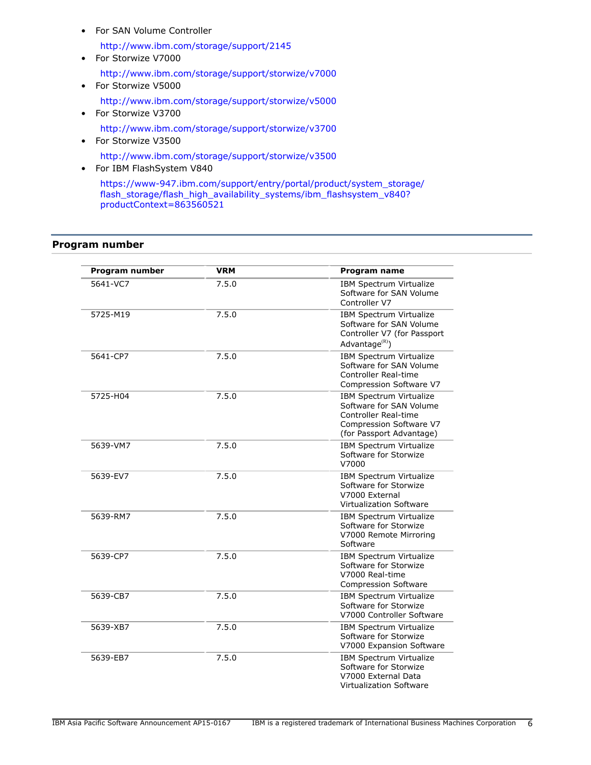• For SAN Volume Controller

<http://www.ibm.com/storage/support/2145>

- For Storwize V7000 <http://www.ibm.com/storage/support/storwize/v7000> • For Storwize V5000
	- <http://www.ibm.com/storage/support/storwize/v5000>
- For Storwize V3700 <http://www.ibm.com/storage/support/storwize/v3700>
- For Storwize V3500 <http://www.ibm.com/storage/support/storwize/v3500>
- For IBM FlashSystem V840

[https://www-947.ibm.com/support/entry/portal/product/system\\_storage/](https://www-947.ibm.com/support/entry/portal/product/system_storage/flash_storage/flash_high_availability_systems/ibm_flashsystem_v840?productContext=863560521) [flash\\_storage/flash\\_high\\_availability\\_systems/ibm\\_flashsystem\\_v840?](https://www-947.ibm.com/support/entry/portal/product/system_storage/flash_storage/flash_high_availability_systems/ibm_flashsystem_v840?productContext=863560521) [productContext=863560521](https://www-947.ibm.com/support/entry/portal/product/system_storage/flash_storage/flash_high_availability_systems/ibm_flashsystem_v840?productContext=863560521)

# <span id="page-5-0"></span>**Program number**

| Program number | <b>VRM</b> | <b>Program name</b>                                                                                                                             |
|----------------|------------|-------------------------------------------------------------------------------------------------------------------------------------------------|
| 5641-VC7       | 7.5.0      | <b>IBM Spectrum Virtualize</b><br>Software for SAN Volume<br>Controller V7                                                                      |
| 5725-M19       | 7.5.0      | IBM Spectrum Virtualize<br>Software for SAN Volume<br>Controller V7 (for Passport<br>Advantage <sup>(R)</sup> )                                 |
| 5641-CP7       | 7.5.0      | IBM Spectrum Virtualize<br>Software for SAN Volume<br>Controller Real-time<br>Compression Software V7                                           |
| 5725-H04       | 7.5.0      | <b>IBM Spectrum Virtualize</b><br>Software for SAN Volume<br><b>Controller Real-time</b><br>Compression Software V7<br>(for Passport Advantage) |
| 5639-VM7       | 7.5.0      | IBM Spectrum Virtualize<br>Software for Storwize<br>V7000                                                                                       |
| 5639-EV7       | 7.5.0      | <b>IBM Spectrum Virtualize</b><br>Software for Storwize<br>V7000 External<br>Virtualization Software                                            |
| 5639-RM7       | 7.5.0      | <b>IBM Spectrum Virtualize</b><br>Software for Storwize<br>V7000 Remote Mirroring<br>Software                                                   |
| 5639-CP7       | 7.5.0      | IBM Spectrum Virtualize<br>Software for Storwize<br>V7000 Real-time<br><b>Compression Software</b>                                              |
| 5639-CB7       | 7.5.0      | <b>IBM Spectrum Virtualize</b><br>Software for Storwize<br>V7000 Controller Software                                                            |
| 5639-XB7       | 7.5.0      | IBM Spectrum Virtualize<br>Software for Storwize<br>V7000 Expansion Software                                                                    |
| 5639-EB7       | 7.5.0      | <b>IBM Spectrum Virtualize</b><br>Software for Storwize<br>V7000 External Data<br><b>Virtualization Software</b>                                |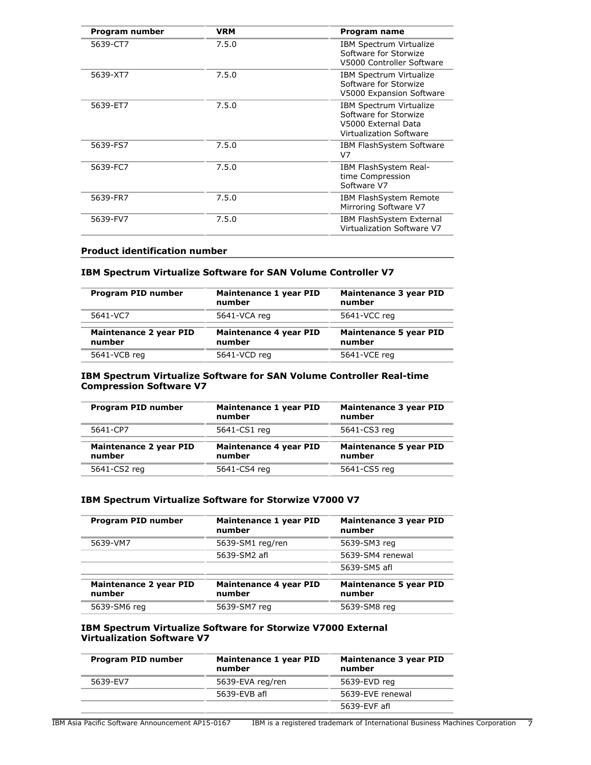| Program number | <b>VRM</b> | Program name                                                                                                     |
|----------------|------------|------------------------------------------------------------------------------------------------------------------|
| 5639-CT7       | 7.5.0      | IBM Spectrum Virtualize<br>Software for Storwize<br>V5000 Controller Software                                    |
| 5639-XT7       | 7.5.0      | <b>IBM Spectrum Virtualize</b><br>Software for Storwize<br>V5000 Expansion Software                              |
| 5639-ET7       | 7.5.0      | <b>IBM Spectrum Virtualize</b><br>Software for Storwize<br>V5000 External Data<br><b>Virtualization Software</b> |
| 5639-FS7       | 7.5.0      | IBM FlashSystem Software<br>V7                                                                                   |
| 5639-FC7       | 7.5.0      | IBM FlashSystem Real-<br>time Compression<br>Software V7                                                         |
| 5639-FR7       | 7.5.0      | IBM FlashSystem Remote<br>Mirroring Software V7                                                                  |
| 5639-FV7       | 7.5.0      | IBM FlashSystem External<br>Virtualization Software V7                                                           |

## **Product identification number**

# **IBM Spectrum Virtualize Software for SAN Volume Controller V7**

| Program PID number               | Maintenance 1 year PID<br>number | <b>Maintenance 3 year PID</b><br>number |
|----------------------------------|----------------------------------|-----------------------------------------|
| 5641-VC7                         | 5641-VCA reg                     | 5641-VCC reg                            |
| Maintenance 2 year PID<br>number | Maintenance 4 year PID<br>number | <b>Maintenance 5 year PID</b><br>number |
| 5641-VCB reg                     | 5641-VCD reg                     | 5641-VCE reg                            |

## **IBM Spectrum Virtualize Software for SAN Volume Controller Real-time Compression Software V7**

| Program PID number                      | Maintenance 1 year PID<br>number | Maintenance 3 year PID<br>number        |
|-----------------------------------------|----------------------------------|-----------------------------------------|
| 5641-CP7                                | 5641-CS1 reg                     | 5641-CS3 reg                            |
| <b>Maintenance 2 year PID</b><br>number | Maintenance 4 year PID<br>number | <b>Maintenance 5 year PID</b><br>number |
|                                         |                                  |                                         |

# **IBM Spectrum Virtualize Software for Storwize V7000 V7**

| Program PID number                      | Maintenance 1 year PID<br>number | Maintenance 3 year PID<br>number        |
|-----------------------------------------|----------------------------------|-----------------------------------------|
| 5639-VM7                                | 5639-SM1 reg/ren                 | 5639-SM3 reg                            |
|                                         | 5639-SM2 afl                     | 5639-SM4 renewal                        |
|                                         |                                  | 5639-SM5 afl                            |
| <b>Maintenance 2 year PID</b><br>number | Maintenance 4 year PID<br>number | <b>Maintenance 5 year PID</b><br>number |
| 5639-SM6 reg                            | 5639-SM7 reg                     | 5639-SM8 reg                            |

#### **IBM Spectrum Virtualize Software for Storwize V7000 External Virtualization Software V7**

| Program PID number | Maintenance 1 year PID<br>number | Maintenance 3 year PID<br>number |
|--------------------|----------------------------------|----------------------------------|
| 5639-EV7           | 5639-EVA reg/ren                 | 5639-EVD reg                     |
|                    | 5639-EVB afl                     | 5639-EVE renewal                 |
|                    |                                  | 5639-EVF afl                     |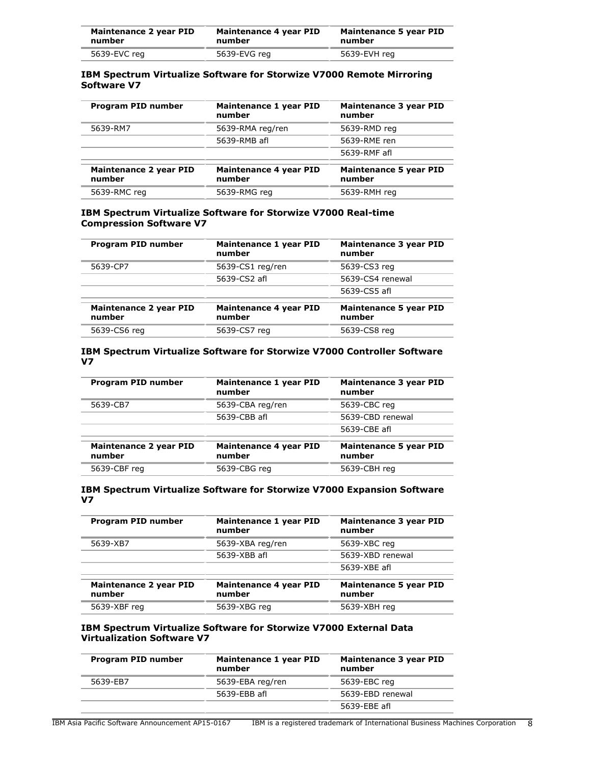| Maintenance 2 year PID | Maintenance 4 year PID | Maintenance 5 year PID |
|------------------------|------------------------|------------------------|
| number                 | number                 | number                 |
| 5639-EVC reg           | 5639-EVG reg           | 5639-EVH reg           |

# **IBM Spectrum Virtualize Software for Storwize V7000 Remote Mirroring Software V7**

| Program PID number               | Maintenance 1 year PID<br>number | <b>Maintenance 3 year PID</b><br>number |
|----------------------------------|----------------------------------|-----------------------------------------|
| 5639-RM7                         | 5639-RMA reg/ren                 | 5639-RMD reg                            |
|                                  | 5639-RMB afl                     | 5639-RME ren                            |
|                                  |                                  | 5639-RMF afl                            |
| Maintenance 2 year PID<br>number | Maintenance 4 year PID<br>number | <b>Maintenance 5 year PID</b><br>number |
| 5639-RMC reg                     | 5639-RMG reg                     | 5639-RMH reg                            |

# **IBM Spectrum Virtualize Software for Storwize V7000 Real-time Compression Software V7**

| Program PID number                      | Maintenance 1 year PID<br>number | Maintenance 3 year PID<br>number        |
|-----------------------------------------|----------------------------------|-----------------------------------------|
| 5639-CP7                                | 5639-CS1 reg/ren                 | 5639-CS3 reg                            |
|                                         | 5639-CS2 afl                     | 5639-CS4 renewal                        |
|                                         |                                  | 5639-CS5 afl                            |
| <b>Maintenance 2 year PID</b><br>number | Maintenance 4 year PID<br>number | <b>Maintenance 5 year PID</b><br>number |
| 5639-CS6 reg                            | 5639-CS7 reg                     | 5639-CS8 reg                            |

# **IBM Spectrum Virtualize Software for Storwize V7000 Controller Software V7**

| Program PID number                      | Maintenance 1 year PID<br>number        | <b>Maintenance 3 year PID</b><br>number |
|-----------------------------------------|-----------------------------------------|-----------------------------------------|
| 5639-CB7                                | 5639-CBA reg/ren                        | 5639-CBC reg                            |
|                                         | 5639-CBB afl                            | 5639-CBD renewal                        |
|                                         |                                         | 5639-CBE afl                            |
| <b>Maintenance 2 year PID</b><br>number | <b>Maintenance 4 year PID</b><br>number | <b>Maintenance 5 year PID</b><br>number |
| 5639-CBF reg                            | 5639-CBG reg                            | 5639-CBH reg                            |

# **IBM Spectrum Virtualize Software for Storwize V7000 Expansion Software V7**

| Program PID number                      | Maintenance 1 year PID<br>number | Maintenance 3 year PID<br>number        |
|-----------------------------------------|----------------------------------|-----------------------------------------|
| 5639-XB7                                | 5639-XBA reg/ren                 | 5639-XBC reg                            |
|                                         | 5639-XBB afl                     | 5639-XBD renewal                        |
|                                         |                                  | 5639-XBE afl                            |
| <b>Maintenance 2 year PID</b><br>number | Maintenance 4 year PID<br>number | <b>Maintenance 5 year PID</b><br>number |
| 5639-XBF reg                            | 5639-XBG reg                     | 5639-XBH reg                            |

# **IBM Spectrum Virtualize Software for Storwize V7000 External Data Virtualization Software V7**

| Program PID number | Maintenance 1 year PID<br>number | Maintenance 3 year PID<br>number |
|--------------------|----------------------------------|----------------------------------|
| 5639-EB7           | 5639-EBA reg/ren                 | 5639-EBC reg                     |
|                    | 5639-EBB afl                     | 5639-EBD renewal                 |
|                    |                                  | 5639-EBE afl                     |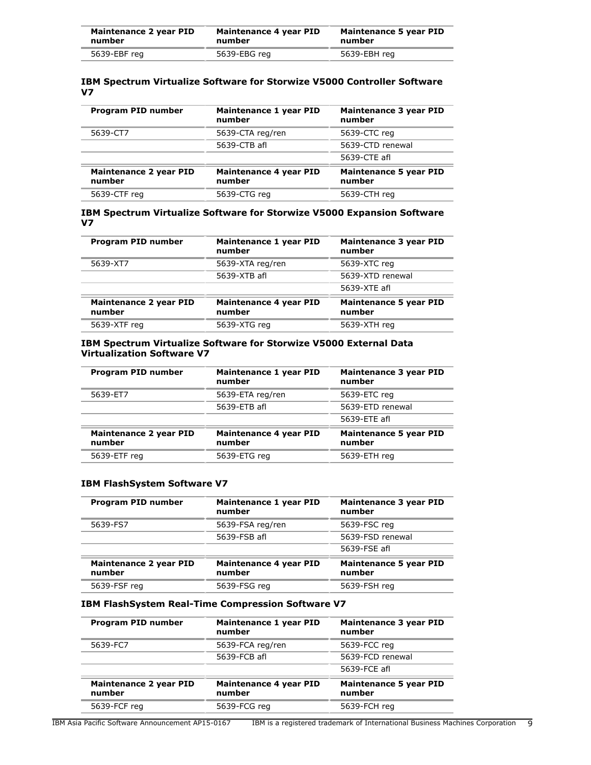| Maintenance 2 year PID | Maintenance 4 year PID | Maintenance 5 year PID |
|------------------------|------------------------|------------------------|
| number                 | number                 | number                 |
| 5639-EBF reg           | 5639-EBG reg           | 5639-EBH reg           |

# **IBM Spectrum Virtualize Software for Storwize V5000 Controller Software V7**

| <b>Program PID number</b>               | Maintenance 1 year PID<br>number | Maintenance 3 year PID<br>number        |
|-----------------------------------------|----------------------------------|-----------------------------------------|
| 5639-CT7                                | 5639-CTA reg/ren                 | 5639-CTC reg                            |
|                                         | 5639-CTB afl                     | 5639-CTD renewal                        |
|                                         |                                  | 5639-CTE afl                            |
| <b>Maintenance 2 year PID</b><br>number | Maintenance 4 year PID<br>number | <b>Maintenance 5 year PID</b><br>number |
| 5639-CTF reg                            | 5639-CTG reg                     | 5639-CTH reg                            |

# **IBM Spectrum Virtualize Software for Storwize V5000 Expansion Software V7**

| Program PID number                      | Maintenance 1 year PID<br>number | Maintenance 3 year PID<br>number        |
|-----------------------------------------|----------------------------------|-----------------------------------------|
| 5639-XT7                                | 5639-XTA reg/ren                 | 5639-XTC reg                            |
|                                         | 5639-XTB afl                     | 5639-XTD renewal                        |
|                                         |                                  | 5639-XTE afl                            |
| <b>Maintenance 2 year PID</b><br>number | Maintenance 4 year PID<br>number | <b>Maintenance 5 year PID</b><br>number |
| 5639-XTF reg                            | 5639-XTG reg                     | 5639-XTH reg                            |

# **IBM Spectrum Virtualize Software for Storwize V5000 External Data Virtualization Software V7**

| Program PID number                      | Maintenance 1 year PID<br>number | Maintenance 3 year PID<br>number        |
|-----------------------------------------|----------------------------------|-----------------------------------------|
| 5639-ET7                                | 5639-ETA reg/ren                 | 5639-ETC reg                            |
|                                         | 5639-ETB afl                     | 5639-ETD renewal                        |
|                                         |                                  | 5639-ETE afl                            |
| <b>Maintenance 2 year PID</b><br>number | Maintenance 4 year PID<br>number | <b>Maintenance 5 year PID</b><br>number |
| 5639-ETF reg                            | 5639-ETG reg                     | 5639-ETH reg                            |

# **IBM FlashSystem Software V7**

| Program PID number                      | Maintenance 1 year PID<br>number | <b>Maintenance 3 year PID</b><br>number |
|-----------------------------------------|----------------------------------|-----------------------------------------|
| 5639-FS7                                | 5639-FSA reg/ren                 | 5639-FSC reg                            |
|                                         | 5639-FSB afl                     | 5639-FSD renewal                        |
|                                         |                                  | 5639-FSE afl                            |
| <b>Maintenance 2 year PID</b><br>number | Maintenance 4 year PID<br>number | <b>Maintenance 5 year PID</b><br>number |
| 5639-FSF reg                            | 5639-FSG reg                     | 5639-FSH reg                            |

#### **IBM FlashSystem Real-Time Compression Software V7**

| <b>Program PID number</b>               | Maintenance 1 year PID<br>number | <b>Maintenance 3 year PID</b><br>number |
|-----------------------------------------|----------------------------------|-----------------------------------------|
| 5639-FC7                                | 5639-FCA reg/ren                 | 5639-FCC reg                            |
|                                         | 5639-FCB afl                     | 5639-FCD renewal                        |
|                                         |                                  | 5639-FCE afl                            |
| <b>Maintenance 2 year PID</b><br>number | Maintenance 4 year PID<br>number | <b>Maintenance 5 year PID</b><br>number |
| 5639-FCF reg                            | 5639-FCG reg                     | 5639-FCH reg                            |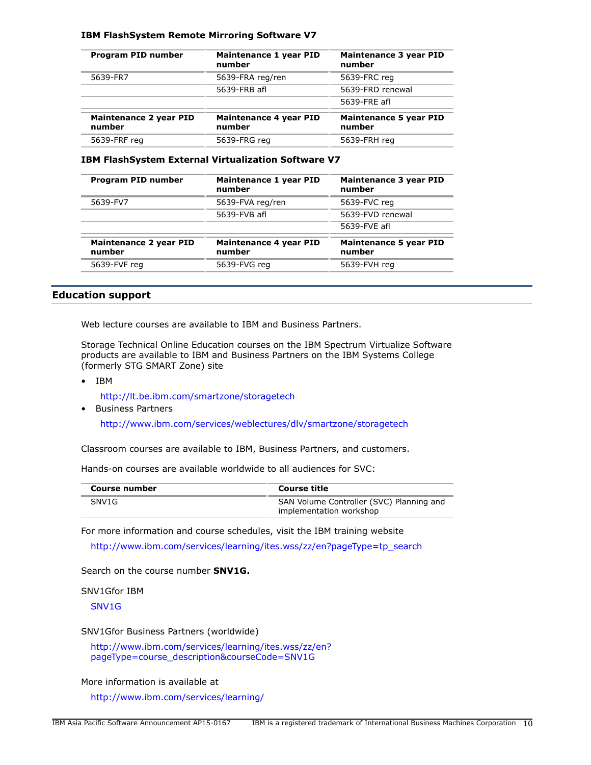## **IBM FlashSystem Remote Mirroring Software V7**

| Program PID number               | Maintenance 1 year PID<br>number | <b>Maintenance 3 year PID</b><br>number |
|----------------------------------|----------------------------------|-----------------------------------------|
| 5639-FR7                         | 5639-FRA reg/ren                 | 5639-FRC reg                            |
|                                  | 5639-FRB afl                     | 5639-FRD renewal                        |
|                                  |                                  | 5639-FRE afl                            |
| Maintenance 2 year PID<br>number | Maintenance 4 year PID<br>number | <b>Maintenance 5 year PID</b><br>number |
| 5639-FRF reg                     | 5639-FRG rea                     | 5639-FRH rea                            |

#### **IBM FlashSystem External Virtualization Software V7**

| <b>Program PID number</b>               | Maintenance 1 year PID<br>number | <b>Maintenance 3 year PID</b><br>number |
|-----------------------------------------|----------------------------------|-----------------------------------------|
| 5639-FV7                                | 5639-FVA reg/ren                 | 5639-FVC reg                            |
|                                         | 5639-FVB afl                     | 5639-FVD renewal                        |
|                                         |                                  | 5639-FVE afl                            |
| <b>Maintenance 2 year PID</b><br>number | Maintenance 4 year PID<br>number | <b>Maintenance 5 year PID</b><br>number |
| 5639-FVF reg                            | 5639-FVG reg                     | 5639-FVH reg                            |

# **Education support**

Web lecture courses are available to IBM and Business Partners.

Storage Technical Online Education courses on the IBM Spectrum Virtualize Software products are available to IBM and Business Partners on the IBM Systems College (formerly STG SMART Zone) site

- IBM
	- <http://lt.be.ibm.com/smartzone/storagetech>
- Business Partners

<http://www.ibm.com/services/weblectures/dlv/smartzone/storagetech>

Classroom courses are available to IBM, Business Partners, and customers.

Hands-on courses are available worldwide to all audiences for SVC:

| Course number     | Course title                                                        |  |
|-------------------|---------------------------------------------------------------------|--|
| SNV <sub>1G</sub> | SAN Volume Controller (SVC) Planning and<br>implementation workshop |  |

For more information and course schedules, visit the IBM training website

[http://www.ibm.com/services/learning/ites.wss/zz/en?pageType=tp\\_search](http://www.ibm.com/services/learning/ites.wss/zz/en?pageType=tp_search)

Search on the course number **SNV1G.**

SNV1Gfor IBM

[SNV1G](https://w3-151.ibm.com/learning/lms/Saba/Web/Main/goto/learningActivity?deepLinkRedirect=false&courseNum=SNV1G)

SNV1Gfor Business Partners (worldwide)

[http://www.ibm.com/services/learning/ites.wss/zz/en?](http://www-304.ibm.com/services/learning/ites.wss/zz/en?pageType=course_description&courseCode=SNV1G) [pageType=course\\_description&courseCode=SNV1G](http://www-304.ibm.com/services/learning/ites.wss/zz/en?pageType=course_description&courseCode=SNV1G)

More information is available at

<http://www.ibm.com/services/learning/>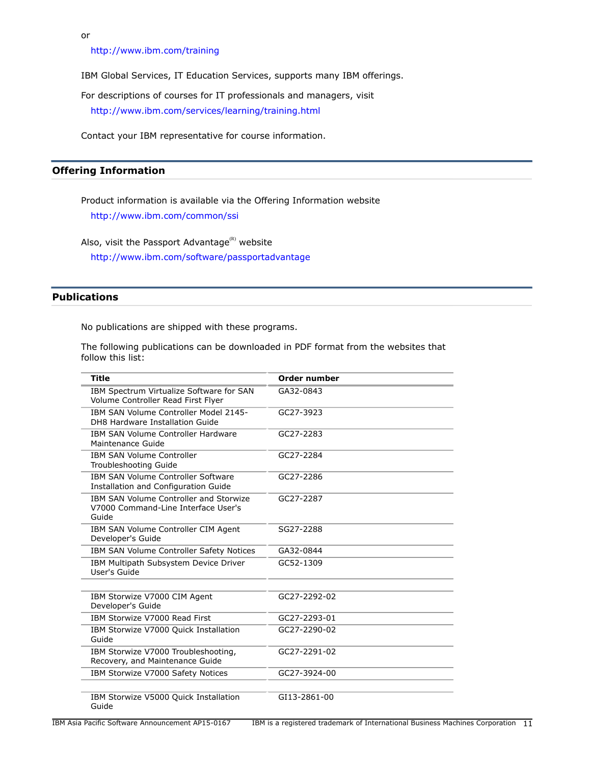or

<http://www.ibm.com/training>

IBM Global Services, IT Education Services, supports many IBM offerings.

For descriptions of courses for IT professionals and managers, visit

<http://www.ibm.com/services/learning/training.html>

Contact your IBM representative for course information.

# **Offering Information**

Product information is available via the Offering Information website <http://www.ibm.com/common/ssi>

Also, visit the Passport Advantage $(R)$  website <http://www.ibm.com/software/passportadvantage>

# <span id="page-10-0"></span>**Publications**

No publications are shipped with these programs.

The following publications can be downloaded in PDF format from the websites that follow this list:

| <b>Title</b>                                                                           | Order number |
|----------------------------------------------------------------------------------------|--------------|
| IBM Spectrum Virtualize Software for SAN<br>Volume Controller Read First Flyer         | GA32-0843    |
| IBM SAN Volume Controller Model 2145-<br>DH8 Hardware Installation Guide               | GC27-3923    |
| IBM SAN Volume Controller Hardware<br>Maintenance Guide                                | GC27-2283    |
| <b>IBM SAN Volume Controller</b><br>Troubleshooting Guide                              | GC27-2284    |
| <b>IBM SAN Volume Controller Software</b><br>Installation and Configuration Guide      | GC27-2286    |
| IBM SAN Volume Controller and Storwize<br>V7000 Command-Line Interface User's<br>Guide | GC27-2287    |
| IBM SAN Volume Controller CIM Agent<br>Developer's Guide                               | SG27-2288    |
| IBM SAN Volume Controller Safety Notices                                               | GA32-0844    |
| IBM Multipath Subsystem Device Driver<br>User's Guide                                  | GC52-1309    |
| IBM Storwize V7000 CIM Agent<br>Developer's Guide                                      | GC27-2292-02 |
| IBM Storwize V7000 Read First                                                          | GC27-2293-01 |
| IBM Storwize V7000 Quick Installation<br>Guide                                         | GC27-2290-02 |
| IBM Storwize V7000 Troubleshooting,<br>Recovery, and Maintenance Guide                 | GC27-2291-02 |
| IBM Storwize V7000 Safety Notices                                                      | GC27-3924-00 |
| IBM Storwize V5000 Quick Installation<br>Guide                                         | GI13-2861-00 |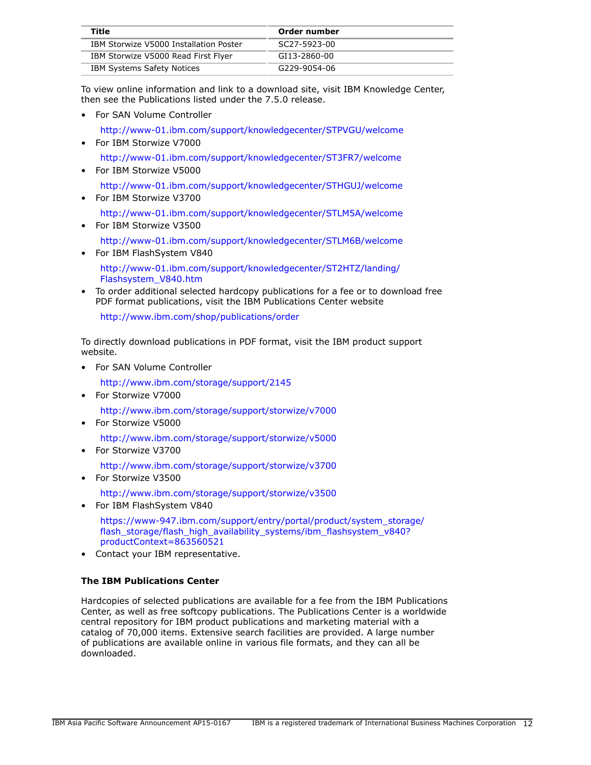| Title                                  | Order number |
|----------------------------------------|--------------|
| IBM Storwize V5000 Installation Poster | SC27-5923-00 |
| IBM Storwize V5000 Read First Flyer    | GI13-2860-00 |
| <b>IBM Systems Safety Notices</b>      | G229-9054-06 |

To view online information and link to a download site, visit IBM Knowledge Center, then see the Publications listed under the 7.5.0 release.

• For SAN Volume Controller

<http://www-01.ibm.com/support/knowledgecenter/STPVGU/welcome>

- For IBM Storwize V7000 <http://www-01.ibm.com/support/knowledgecenter/ST3FR7/welcome>
- For IBM Storwize V5000

<http://www-01.ibm.com/support/knowledgecenter/STHGUJ/welcome>

- For IBM Storwize V3700
	- <http://www-01.ibm.com/support/knowledgecenter/STLM5A/welcome>
- For IBM Storwize V3500 <http://www-01.ibm.com/support/knowledgecenter/STLM6B/welcome>
- For IBM FlashSystem V840 [http://www-01.ibm.com/support/knowledgecenter/ST2HTZ/landing/](http://www-01.ibm.com/support/knowledgecenter/ST2HTZ/landing/Flashsystem_V840.htm) [Flashsystem\\_V840.htm](http://www-01.ibm.com/support/knowledgecenter/ST2HTZ/landing/Flashsystem_V840.htm)
- To order additional selected hardcopy publications for a fee or to download free PDF format publications, visit the IBM Publications Center website

<http://www.ibm.com/shop/publications/order>

To directly download publications in PDF format, visit the IBM product support website.

• For SAN Volume Controller

<http://www.ibm.com/storage/support/2145>

• For Storwize V7000

<http://www.ibm.com/storage/support/storwize/v7000>

• For Storwize V5000

<http://www.ibm.com/storage/support/storwize/v5000>

• For Storwize V3700

<http://www.ibm.com/storage/support/storwize/v3700>

• For Storwize V3500

<http://www.ibm.com/storage/support/storwize/v3500>

• For IBM FlashSystem V840

[https://www-947.ibm.com/support/entry/portal/product/system\\_storage/](https://www-947.ibm.com/support/entry/portal/product/system_storage/flash_storage/flash_high_availability_systems/ibm_flashsystem_v840?productContext=863560521) flash storage/flash high availability systems/ibm flashsystem v840? [productContext=863560521](https://www-947.ibm.com/support/entry/portal/product/system_storage/flash_storage/flash_high_availability_systems/ibm_flashsystem_v840?productContext=863560521)

• Contact your IBM representative.

# **The IBM Publications Center**

Hardcopies of selected publications are available for a fee from the IBM Publications Center, as well as free softcopy publications. The Publications Center is a worldwide central repository for IBM product publications and marketing material with a catalog of 70,000 items. Extensive search facilities are provided. A large number of publications are available online in various file formats, and they can all be downloaded.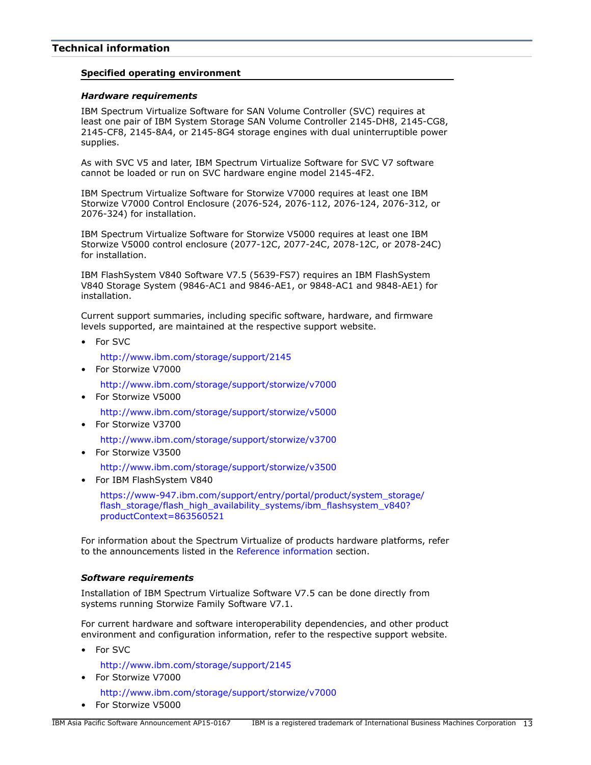# <span id="page-12-0"></span>**Technical information**

#### **Specified operating environment**

#### <span id="page-12-1"></span>*Hardware requirements*

IBM Spectrum Virtualize Software for SAN Volume Controller (SVC) requires at least one pair of IBM System Storage SAN Volume Controller 2145-DH8, 2145-CG8, 2145-CF8, 2145-8A4, or 2145-8G4 storage engines with dual uninterruptible power supplies.

As with SVC V5 and later, IBM Spectrum Virtualize Software for SVC V7 software cannot be loaded or run on SVC hardware engine model 2145-4F2.

IBM Spectrum Virtualize Software for Storwize V7000 requires at least one IBM Storwize V7000 Control Enclosure (2076-524, 2076-112, 2076-124, 2076-312, or 2076-324) for installation.

IBM Spectrum Virtualize Software for Storwize V5000 requires at least one IBM Storwize V5000 control enclosure (2077-12C, 2077-24C, 2078-12C, or 2078-24C) for installation.

IBM FlashSystem V840 Software V7.5 (5639-FS7) requires an IBM FlashSystem V840 Storage System (9846-AC1 and 9846-AE1, or 9848-AC1 and 9848-AE1) for installation.

Current support summaries, including specific software, hardware, and firmware levels supported, are maintained at the respective support website.

• For SVC

<http://www.ibm.com/storage/support/2145>

• For Storwize V7000

<http://www.ibm.com/storage/support/storwize/v7000>

• For Storwize V5000

<http://www.ibm.com/storage/support/storwize/v5000>

• For Storwize V3700

<http://www.ibm.com/storage/support/storwize/v3700>

• For Storwize V3500

<http://www.ibm.com/storage/support/storwize/v3500>

• For IBM FlashSystem V840

[https://www-947.ibm.com/support/entry/portal/product/system\\_storage/](https://www-947.ibm.com/support/entry/portal/product/system_storage/flash_storage/flash_high_availability_systems/ibm_flashsystem_v840?productContext=863560521) [flash\\_storage/flash\\_high\\_availability\\_systems/ibm\\_flashsystem\\_v840?](https://www-947.ibm.com/support/entry/portal/product/system_storage/flash_storage/flash_high_availability_systems/ibm_flashsystem_v840?productContext=863560521) [productContext=863560521](https://www-947.ibm.com/support/entry/portal/product/system_storage/flash_storage/flash_high_availability_systems/ibm_flashsystem_v840?productContext=863560521)

For information about the Spectrum Virtualize of products hardware platforms, refer to the announcements listed in the [Reference information](#page-4-1) section.

#### <span id="page-12-2"></span>*Software requirements*

Installation of IBM Spectrum Virtualize Software V7.5 can be done directly from systems running Storwize Family Software V7.1.

For current hardware and software interoperability dependencies, and other product environment and configuration information, refer to the respective support website.

• For SVC

<http://www.ibm.com/storage/support/2145>

• For Storwize V7000

<http://www.ibm.com/storage/support/storwize/v7000>

• For Storwize V5000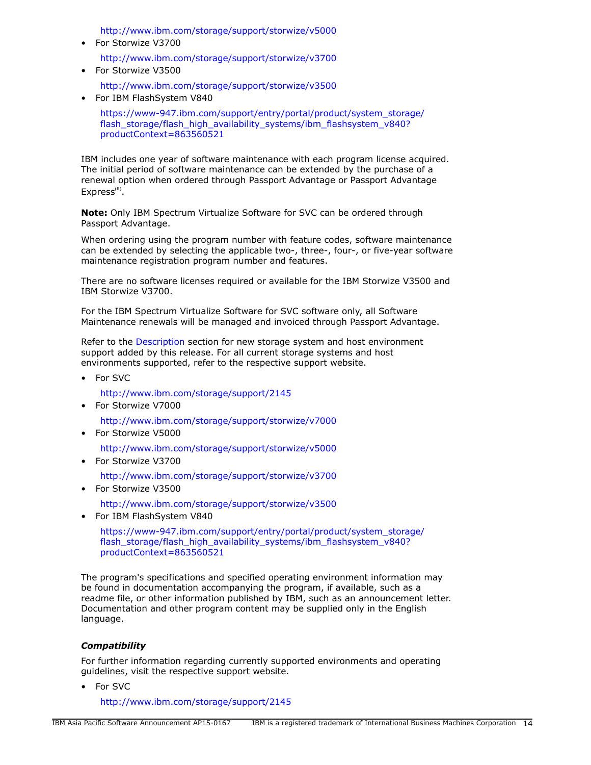<http://www.ibm.com/storage/support/storwize/v5000>

- For Storwize V3700 <http://www.ibm.com/storage/support/storwize/v3700>
- For Storwize V3500 <http://www.ibm.com/storage/support/storwize/v3500>
- For IBM FlashSystem V840

[https://www-947.ibm.com/support/entry/portal/product/system\\_storage/](https://www-947.ibm.com/support/entry/portal/product/system_storage/flash_storage/flash_high_availability_systems/ibm_flashsystem_v840?productContext=863560521) [flash\\_storage/flash\\_high\\_availability\\_systems/ibm\\_flashsystem\\_v840?](https://www-947.ibm.com/support/entry/portal/product/system_storage/flash_storage/flash_high_availability_systems/ibm_flashsystem_v840?productContext=863560521) [productContext=863560521](https://www-947.ibm.com/support/entry/portal/product/system_storage/flash_storage/flash_high_availability_systems/ibm_flashsystem_v840?productContext=863560521)

IBM includes one year of software maintenance with each program license acquired. The initial period of software maintenance can be extended by the purchase of a renewal option when ordered through Passport Advantage or Passport Advantage  $Express<sup>(R)</sup>.$ 

**Note:** Only IBM Spectrum Virtualize Software for SVC can be ordered through Passport Advantage.

When ordering using the program number with feature codes, software maintenance can be extended by selecting the applicable two-, three-, four-, or five-year software maintenance registration program number and features.

There are no software licenses required or available for the IBM Storwize V3500 and IBM Storwize V3700.

For the IBM Spectrum Virtualize Software for SVC software only, all Software Maintenance renewals will be managed and invoiced through Passport Advantage.

Refer to the [Description](#page-2-1) section for new storage system and host environment support added by this release. For all current storage systems and host environments supported, refer to the respective support website.

• For SVC

<http://www.ibm.com/storage/support/2145>

• For Storwize V7000

<http://www.ibm.com/storage/support/storwize/v7000>

• For Storwize V5000

<http://www.ibm.com/storage/support/storwize/v5000>

• For Storwize V3700

<http://www.ibm.com/storage/support/storwize/v3700>

• For Storwize V3500

<http://www.ibm.com/storage/support/storwize/v3500>

• For IBM FlashSystem V840

[https://www-947.ibm.com/support/entry/portal/product/system\\_storage/](https://www-947.ibm.com/support/entry/portal/product/system_storage/flash_storage/flash_high_availability_systems/ibm_flashsystem_v840?productContext=863560521) [flash\\_storage/flash\\_high\\_availability\\_systems/ibm\\_flashsystem\\_v840?](https://www-947.ibm.com/support/entry/portal/product/system_storage/flash_storage/flash_high_availability_systems/ibm_flashsystem_v840?productContext=863560521) [productContext=863560521](https://www-947.ibm.com/support/entry/portal/product/system_storage/flash_storage/flash_high_availability_systems/ibm_flashsystem_v840?productContext=863560521)

The program's specifications and specified operating environment information may be found in documentation accompanying the program, if available, such as a readme file, or other information published by IBM, such as an announcement letter. Documentation and other program content may be supplied only in the English language.

# *Compatibility*

For further information regarding currently supported environments and operating guidelines, visit the respective support website.

• For SVC

<http://www.ibm.com/storage/support/2145>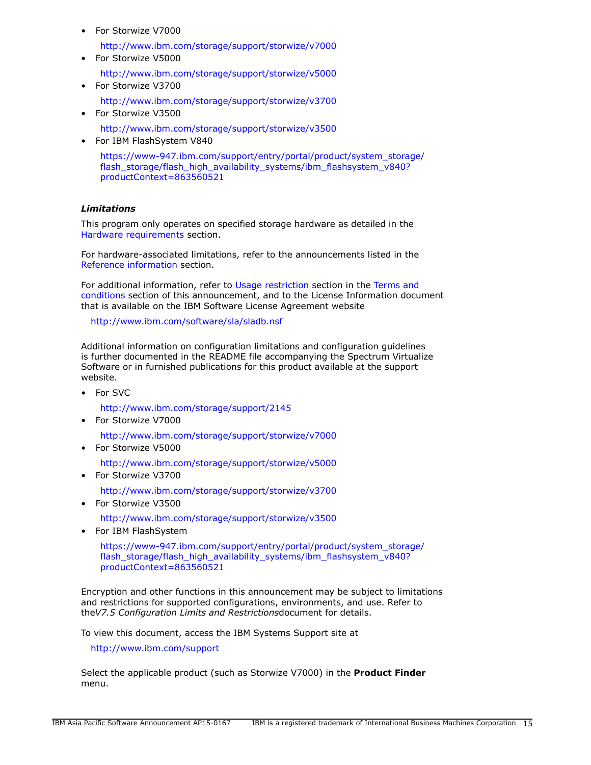• For Storwize V7000

<http://www.ibm.com/storage/support/storwize/v7000>

- For Storwize V5000
	- <http://www.ibm.com/storage/support/storwize/v5000>
- For Storwize V3700 <http://www.ibm.com/storage/support/storwize/v3700>
- For Storwize V3500 <http://www.ibm.com/storage/support/storwize/v3500>
- For IBM FlashSystem V840

[https://www-947.ibm.com/support/entry/portal/product/system\\_storage/](https://www-947.ibm.com/support/entry/portal/product/system_storage/flash_storage/flash_high_availability_systems/ibm_flashsystem_v840?productContext=863560521) [flash\\_storage/flash\\_high\\_availability\\_systems/ibm\\_flashsystem\\_v840?](https://www-947.ibm.com/support/entry/portal/product/system_storage/flash_storage/flash_high_availability_systems/ibm_flashsystem_v840?productContext=863560521) [productContext=863560521](https://www-947.ibm.com/support/entry/portal/product/system_storage/flash_storage/flash_high_availability_systems/ibm_flashsystem_v840?productContext=863560521)

# *Limitations*

This program only operates on specified storage hardware as detailed in the [Hardware requirements](#page-12-1) section.

For hardware-associated limitations, refer to the announcements listed in the [Reference information](#page-4-1) section.

For additional information, refer to [Usage restriction](#page-21-0) section in the [Terms and](#page-19-0) [conditions](#page-19-0) section of this announcement, and to the License Information document that is available on the IBM Software License Agreement website

<http://www.ibm.com/software/sla/sladb.nsf>

Additional information on configuration limitations and configuration guidelines is further documented in the README file accompanying the Spectrum Virtualize Software or in furnished publications for this product available at the support website.

• For SVC

<http://www.ibm.com/storage/support/2145>

• For Storwize V7000

<http://www.ibm.com/storage/support/storwize/v7000>

• For Storwize V5000

<http://www.ibm.com/storage/support/storwize/v5000>

• For Storwize V3700

[http://www.ibm.com/storage/support/storwize/v3700](http://www.ibm.com/storage/support/storwize/v5000)

• For Storwize V3500

<http://www.ibm.com/storage/support/storwize/v3500>

• For IBM FlashSystem

[https://www-947.ibm.com/support/entry/portal/product/system\\_storage/](https://www-947.ibm.com/support/entry/portal/product/system_storage/flash_storage/flash_high_availability_systems/ibm_flashsystem_v840?productContext=863560521) [flash\\_storage/flash\\_high\\_availability\\_systems/ibm\\_flashsystem\\_v840?](https://www-947.ibm.com/support/entry/portal/product/system_storage/flash_storage/flash_high_availability_systems/ibm_flashsystem_v840?productContext=863560521) [productContext=863560521](https://www-947.ibm.com/support/entry/portal/product/system_storage/flash_storage/flash_high_availability_systems/ibm_flashsystem_v840?productContext=863560521)

Encryption and other functions in this announcement may be subject to limitations and restrictions for supported configurations, environments, and use. Refer to the*V7.5 Configuration Limits and Restrictions*document for details.

To view this document, access the IBM Systems Support site at

<http://www.ibm.com/support>

Select the applicable product (such as Storwize V7000) in the **Product Finder** menu.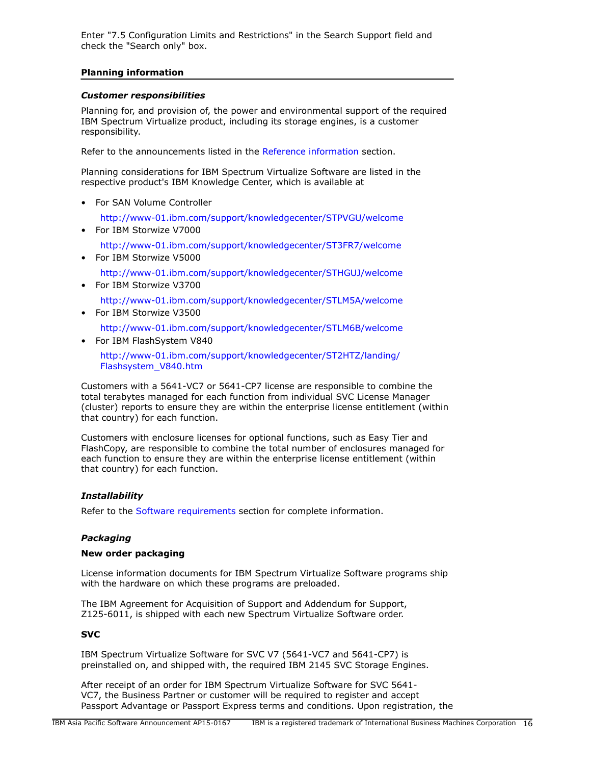Enter "7.5 Configuration Limits and Restrictions" in the Search Support field and check the "Search only" box.

# **Planning information**

## *Customer responsibilities*

Planning for, and provision of, the power and environmental support of the required IBM Spectrum Virtualize product, including its storage engines, is a customer responsibility.

Refer to the announcements listed in the [Reference information](#page-4-1) section.

Planning considerations for IBM Spectrum Virtualize Software are listed in the respective product's IBM Knowledge Center, which is available at

• For SAN Volume Controller

<http://www-01.ibm.com/support/knowledgecenter/STPVGU/welcome>

- For IBM Storwize V7000 <http://www-01.ibm.com/support/knowledgecenter/ST3FR7/welcome>
- For IBM Storwize V5000 <http://www-01.ibm.com/support/knowledgecenter/STHGUJ/welcome>
- For IBM Storwize V3700

<http://www-01.ibm.com/support/knowledgecenter/STLM5A/welcome>

• For IBM Storwize V3500

<http://www-01.ibm.com/support/knowledgecenter/STLM6B/welcome>

• For IBM FlashSystem V840

[http://www-01.ibm.com/support/knowledgecenter/ST2HTZ/landing/](http://www-01.ibm.com/support/knowledgecenter/ST2HTZ/landing/Flashsystem_V840.htm) [Flashsystem\\_V840.htm](http://www-01.ibm.com/support/knowledgecenter/ST2HTZ/landing/Flashsystem_V840.htm)

Customers with a 5641-VC7 or 5641-CP7 license are responsible to combine the total terabytes managed for each function from individual SVC License Manager (cluster) reports to ensure they are within the enterprise license entitlement (within that country) for each function.

Customers with enclosure licenses for optional functions, such as Easy Tier and FlashCopy, are responsible to combine the total number of enclosures managed for each function to ensure they are within the enterprise license entitlement (within that country) for each function.

# *Installability*

Refer to the [Software requirements](#page-12-2) section for complete information.

# *Packaging*

### **New order packaging**

License information documents for IBM Spectrum Virtualize Software programs ship with the hardware on which these programs are preloaded.

The IBM Agreement for Acquisition of Support and Addendum for Support, Z125-6011, is shipped with each new Spectrum Virtualize Software order.

# **SVC**

IBM Spectrum Virtualize Software for SVC V7 (5641-VC7 and 5641-CP7) is preinstalled on, and shipped with, the required IBM 2145 SVC Storage Engines.

After receipt of an order for IBM Spectrum Virtualize Software for SVC 5641- VC7, the Business Partner or customer will be required to register and accept Passport Advantage or Passport Express terms and conditions. Upon registration, the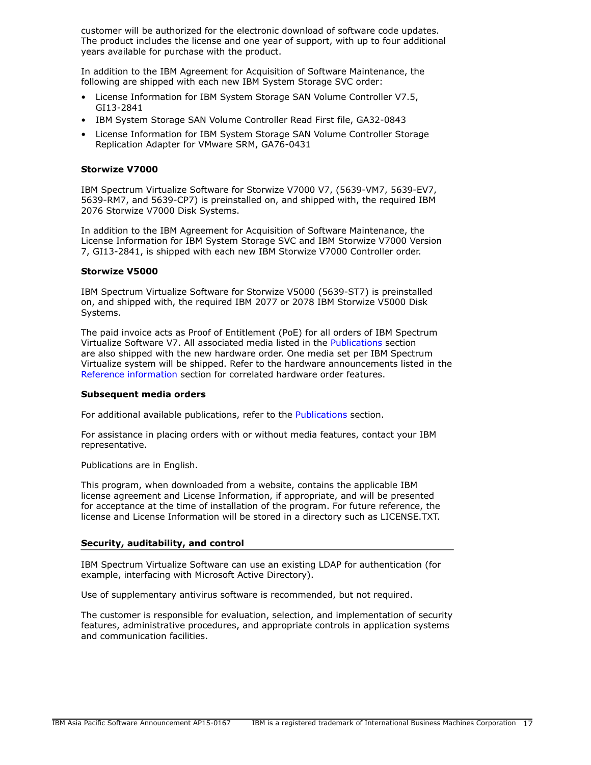customer will be authorized for the electronic download of software code updates. The product includes the license and one year of support, with up to four additional years available for purchase with the product.

In addition to the IBM Agreement for Acquisition of Software Maintenance, the following are shipped with each new IBM System Storage SVC order:

- License Information for IBM System Storage SAN Volume Controller V7.5, GI13-2841
- IBM System Storage SAN Volume Controller Read First file, GA32-0843
- License Information for IBM System Storage SAN Volume Controller Storage Replication Adapter for VMware SRM, GA76-0431

# **Storwize V7000**

IBM Spectrum Virtualize Software for Storwize V7000 V7, (5639-VM7, 5639-EV7, 5639-RM7, and 5639-CP7) is preinstalled on, and shipped with, the required IBM 2076 Storwize V7000 Disk Systems.

In addition to the IBM Agreement for Acquisition of Software Maintenance, the License Information for IBM System Storage SVC and IBM Storwize V7000 Version 7, GI13-2841, is shipped with each new IBM Storwize V7000 Controller order.

### **Storwize V5000**

IBM Spectrum Virtualize Software for Storwize V5000 (5639-ST7) is preinstalled on, and shipped with, the required IBM 2077 or 2078 IBM Storwize V5000 Disk Systems.

The paid invoice acts as Proof of Entitlement (PoE) for all orders of IBM Spectrum Virtualize Software V7. All associated media listed in the [Publications](#page-10-0) section are also shipped with the new hardware order. One media set per IBM Spectrum Virtualize system will be shipped. Refer to the hardware announcements listed in the [Reference information](#page-4-1) section for correlated hardware order features.

### **Subsequent media orders**

For additional available publications, refer to the [Publications](#page-10-0) section.

For assistance in placing orders with or without media features, contact your IBM representative.

Publications are in English.

This program, when downloaded from a website, contains the applicable IBM license agreement and License Information, if appropriate, and will be presented for acceptance at the time of installation of the program. For future reference, the license and License Information will be stored in a directory such as LICENSE.TXT.

# **Security, auditability, and control**

IBM Spectrum Virtualize Software can use an existing LDAP for authentication (for example, interfacing with Microsoft Active Directory).

Use of supplementary antivirus software is recommended, but not required.

The customer is responsible for evaluation, selection, and implementation of security features, administrative procedures, and appropriate controls in application systems and communication facilities.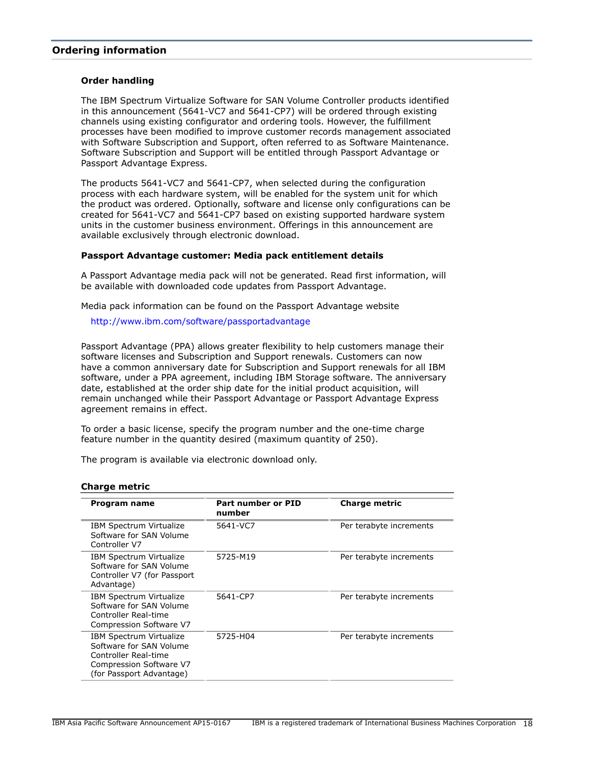# <span id="page-17-0"></span>**Ordering information**

#### **Order handling**

The IBM Spectrum Virtualize Software for SAN Volume Controller products identified in this announcement (5641-VC7 and 5641-CP7) will be ordered through existing channels using existing configurator and ordering tools. However, the fulfillment processes have been modified to improve customer records management associated with Software Subscription and Support, often referred to as Software Maintenance. Software Subscription and Support will be entitled through Passport Advantage or Passport Advantage Express.

The products 5641-VC7 and 5641-CP7, when selected during the configuration process with each hardware system, will be enabled for the system unit for which the product was ordered. Optionally, software and license only configurations can be created for 5641-VC7 and 5641-CP7 based on existing supported hardware system units in the customer business environment. Offerings in this announcement are available exclusively through electronic download.

## **Passport Advantage customer: Media pack entitlement details**

A Passport Advantage media pack will not be generated. Read first information, will be available with downloaded code updates from Passport Advantage.

Media pack information can be found on the Passport Advantage website

<http://www.ibm.com/software/passportadvantage>

Passport Advantage (PPA) allows greater flexibility to help customers manage their software licenses and Subscription and Support renewals. Customers can now have a common anniversary date for Subscription and Support renewals for all IBM software, under a PPA agreement, including IBM Storage software. The anniversary date, established at the order ship date for the initial product acquisition, will remain unchanged while their Passport Advantage or Passport Advantage Express agreement remains in effect.

To order a basic license, specify the program number and the one-time charge feature number in the quantity desired (maximum quantity of 250).

The program is available via electronic download only.

| Program name                                                                                                                      | Part number or PID<br>number | <b>Charge metric</b>    |
|-----------------------------------------------------------------------------------------------------------------------------------|------------------------------|-------------------------|
| IBM Spectrum Virtualize<br>Software for SAN Volume<br>Controller V7                                                               | 5641-VC7                     | Per terabyte increments |
| IBM Spectrum Virtualize<br>Software for SAN Volume<br>Controller V7 (for Passport<br>Advantage)                                   | 5725-M19                     | Per terabyte increments |
| IBM Spectrum Virtualize<br>Software for SAN Volume<br>Controller Real-time<br>Compression Software V7                             | 5641-CP7                     | Per terabyte increments |
| IBM Spectrum Virtualize<br>Software for SAN Volume<br>Controller Real-time<br>Compression Software V7<br>(for Passport Advantage) | 5725-H04                     | Per terabyte increments |

#### **Charge metric**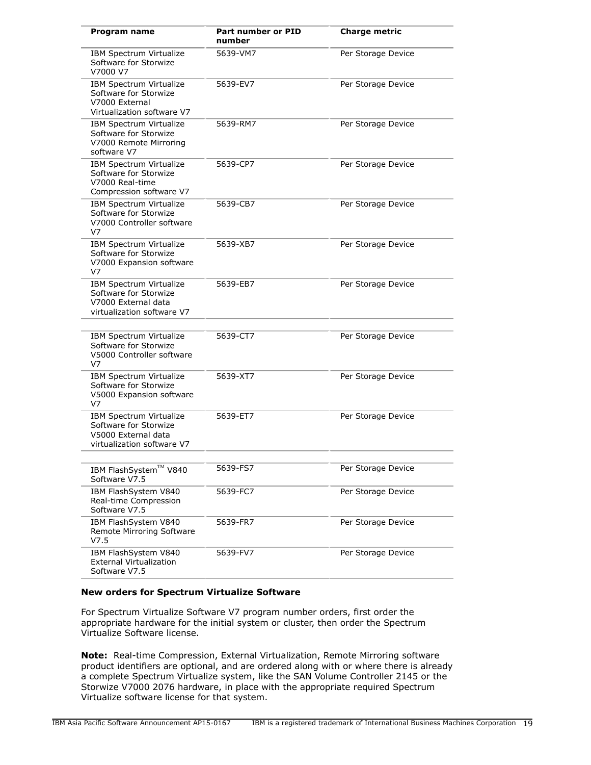| Program name                                                                                                 | <b>Part number or PID</b><br>number | <b>Charge metric</b> |
|--------------------------------------------------------------------------------------------------------------|-------------------------------------|----------------------|
| IBM Spectrum Virtualize<br>Software for Storwize<br>V7000 V7                                                 | 5639-VM7                            | Per Storage Device   |
| IBM Spectrum Virtualize<br>Software for Storwize<br>V7000 External<br>Virtualization software V7             | 5639-EV7                            | Per Storage Device   |
| <b>IBM Spectrum Virtualize</b><br>Software for Storwize<br>V7000 Remote Mirroring<br>software V7             | 5639-RM7                            | Per Storage Device   |
| IBM Spectrum Virtualize<br>Software for Storwize<br>V7000 Real-time<br>Compression software V7               | 5639-CP7                            | Per Storage Device   |
| IBM Spectrum Virtualize<br>Software for Storwize<br>V7000 Controller software<br>V7                          | 5639-CB7                            | Per Storage Device   |
| IBM Spectrum Virtualize<br>Software for Storwize<br>V7000 Expansion software<br>V7                           | 5639-XB7                            | Per Storage Device   |
| <b>IBM Spectrum Virtualize</b><br>Software for Storwize<br>V7000 External data<br>virtualization software V7 | 5639-EB7                            | Per Storage Device   |
| IBM Spectrum Virtualize<br>Software for Storwize<br>V5000 Controller software<br>V7                          | 5639-CT7                            | Per Storage Device   |
| IBM Spectrum Virtualize<br>Software for Storwize<br>V5000 Expansion software<br>V7                           | 5639-XT7                            | Per Storage Device   |
| IBM Spectrum Virtualize<br>Software for Storwize<br>V5000 External data<br>virtualization software V7        | 5639-ET7                            | Per Storage Device   |
| IBM FlashSystem™ V840<br>Software V7.5                                                                       | 5639-FS7                            | Per Storage Device   |
| IBM FlashSystem V840<br>Real-time Compression<br>Software V7.5                                               | 5639-FC7                            | Per Storage Device   |
| IBM FlashSystem V840<br>Remote Mirroring Software<br>V7.5                                                    | 5639-FR7                            | Per Storage Device   |
| IBM FlashSystem V840<br><b>External Virtualization</b><br>Software V7.5                                      | 5639-FV7                            | Per Storage Device   |

# **New orders for Spectrum Virtualize Software**

For Spectrum Virtualize Software V7 program number orders, first order the appropriate hardware for the initial system or cluster, then order the Spectrum Virtualize Software license.

**Note:** Real-time Compression, External Virtualization, Remote Mirroring software product identifiers are optional, and are ordered along with or where there is already a complete Spectrum Virtualize system, like the SAN Volume Controller 2145 or the Storwize V7000 2076 hardware, in place with the appropriate required Spectrum Virtualize software license for that system.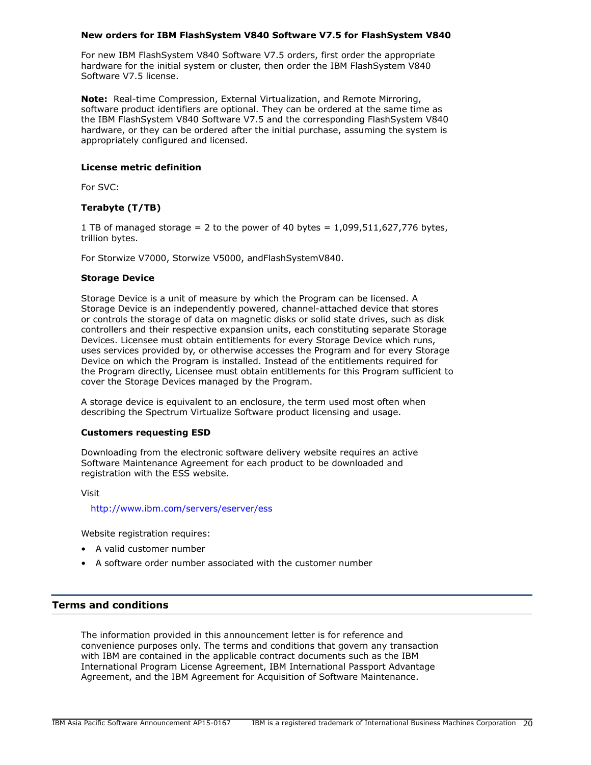## **New orders for IBM FlashSystem V840 Software V7.5 for FlashSystem V840**

For new IBM FlashSystem V840 Software V7.5 orders, first order the appropriate hardware for the initial system or cluster, then order the IBM FlashSystem V840 Software V7.5 license.

**Note:** Real-time Compression, External Virtualization, and Remote Mirroring, software product identifiers are optional. They can be ordered at the same time as the IBM FlashSystem V840 Software V7.5 and the corresponding FlashSystem V840 hardware, or they can be ordered after the initial purchase, assuming the system is appropriately configured and licensed.

## **License metric definition**

For SVC:

# **Terabyte (T/TB)**

1 TB of managed storage = 2 to the power of 40 bytes =  $1,099,511,627,776$  bytes, trillion bytes.

For Storwize V7000, Storwize V5000, andFlashSystemV840.

### **Storage Device**

Storage Device is a unit of measure by which the Program can be licensed. A Storage Device is an independently powered, channel-attached device that stores or controls the storage of data on magnetic disks or solid state drives, such as disk controllers and their respective expansion units, each constituting separate Storage Devices. Licensee must obtain entitlements for every Storage Device which runs, uses services provided by, or otherwise accesses the Program and for every Storage Device on which the Program is installed. Instead of the entitlements required for the Program directly, Licensee must obtain entitlements for this Program sufficient to cover the Storage Devices managed by the Program.

A storage device is equivalent to an enclosure, the term used most often when describing the Spectrum Virtualize Software product licensing and usage.

### **Customers requesting ESD**

Downloading from the electronic software delivery website requires an active Software Maintenance Agreement for each product to be downloaded and registration with the ESS website.

Visit

#### <http://www.ibm.com/servers/eserver/ess>

Website registration requires:

- A valid customer number
- A software order number associated with the customer number

# <span id="page-19-0"></span>**Terms and conditions**

The information provided in this announcement letter is for reference and convenience purposes only. The terms and conditions that govern any transaction with IBM are contained in the applicable contract documents such as the IBM International Program License Agreement, IBM International Passport Advantage Agreement, and the IBM Agreement for Acquisition of Software Maintenance.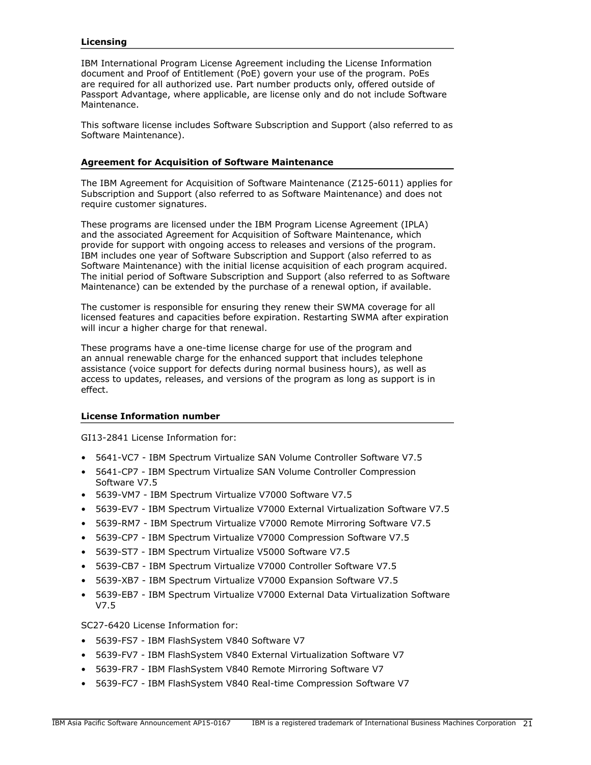# **Licensing**

IBM International Program License Agreement including the License Information document and Proof of Entitlement (PoE) govern your use of the program. PoEs are required for all authorized use. Part number products only, offered outside of Passport Advantage, where applicable, are license only and do not include Software Maintenance.

This software license includes Software Subscription and Support (also referred to as Software Maintenance).

#### **Agreement for Acquisition of Software Maintenance**

The IBM Agreement for Acquisition of Software Maintenance (Z125-6011) applies for Subscription and Support (also referred to as Software Maintenance) and does not require customer signatures.

These programs are licensed under the IBM Program License Agreement (IPLA) and the associated Agreement for Acquisition of Software Maintenance, which provide for support with ongoing access to releases and versions of the program. IBM includes one year of Software Subscription and Support (also referred to as Software Maintenance) with the initial license acquisition of each program acquired. The initial period of Software Subscription and Support (also referred to as Software Maintenance) can be extended by the purchase of a renewal option, if available.

The customer is responsible for ensuring they renew their SWMA coverage for all licensed features and capacities before expiration. Restarting SWMA after expiration will incur a higher charge for that renewal.

These programs have a one-time license charge for use of the program and an annual renewable charge for the enhanced support that includes telephone assistance (voice support for defects during normal business hours), as well as access to updates, releases, and versions of the program as long as support is in effect.

# **License Information number**

GI13-2841 License Information for:

- 5641-VC7 IBM Spectrum Virtualize SAN Volume Controller Software V7.5
- 5641-CP7 IBM Spectrum Virtualize SAN Volume Controller Compression Software V7.5
- 5639-VM7 IBM Spectrum Virtualize V7000 Software V7.5
- 5639-EV7 IBM Spectrum Virtualize V7000 External Virtualization Software V7.5
- 5639-RM7 IBM Spectrum Virtualize V7000 Remote Mirroring Software V7.5
- 5639-CP7 IBM Spectrum Virtualize V7000 Compression Software V7.5
- 5639-ST7 IBM Spectrum Virtualize V5000 Software V7.5
- 5639-CB7 IBM Spectrum Virtualize V7000 Controller Software V7.5
- 5639-XB7 IBM Spectrum Virtualize V7000 Expansion Software V7.5
- 5639-EB7 IBM Spectrum Virtualize V7000 External Data Virtualization Software V7.5

SC27-6420 License Information for:

- 5639-FS7 IBM FlashSystem V840 Software V7
- 5639-FV7 IBM FlashSystem V840 External Virtualization Software V7
- 5639-FR7 IBM FlashSystem V840 Remote Mirroring Software V7
- 5639-FC7 IBM FlashSystem V840 Real-time Compression Software V7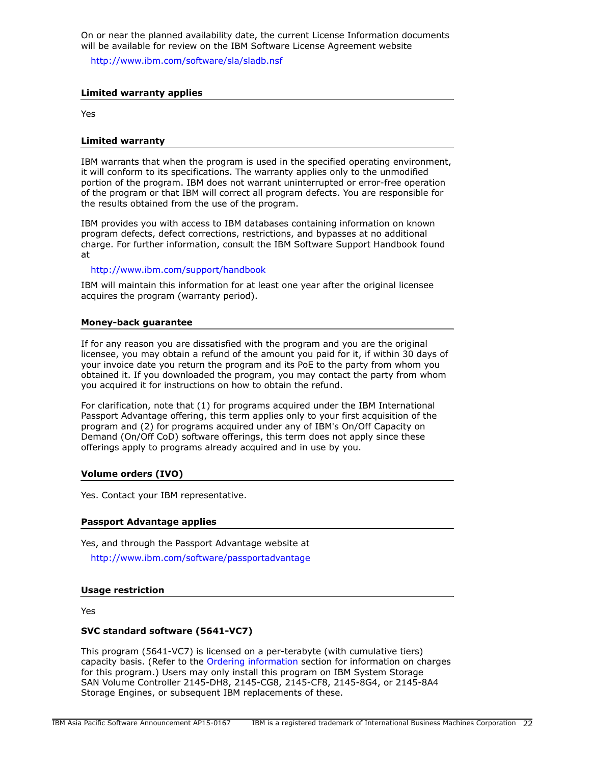On or near the planned availability date, the current License Information documents will be available for review on the IBM Software License Agreement website

<http://www.ibm.com/software/sla/sladb.nsf>

#### **Limited warranty applies**

Yes

#### **Limited warranty**

IBM warrants that when the program is used in the specified operating environment, it will conform to its specifications. The warranty applies only to the unmodified portion of the program. IBM does not warrant uninterrupted or error-free operation of the program or that IBM will correct all program defects. You are responsible for the results obtained from the use of the program.

IBM provides you with access to IBM databases containing information on known program defects, defect corrections, restrictions, and bypasses at no additional charge. For further information, consult the IBM Software Support Handbook found at

#### <http://www.ibm.com/support/handbook>

IBM will maintain this information for at least one year after the original licensee acquires the program (warranty period).

#### **Money-back guarantee**

If for any reason you are dissatisfied with the program and you are the original licensee, you may obtain a refund of the amount you paid for it, if within 30 days of your invoice date you return the program and its PoE to the party from whom you obtained it. If you downloaded the program, you may contact the party from whom you acquired it for instructions on how to obtain the refund.

For clarification, note that (1) for programs acquired under the IBM International Passport Advantage offering, this term applies only to your first acquisition of the program and (2) for programs acquired under any of IBM's On/Off Capacity on Demand (On/Off CoD) software offerings, this term does not apply since these offerings apply to programs already acquired and in use by you.

#### **Volume orders (IVO)**

Yes. Contact your IBM representative.

#### **Passport Advantage applies**

Yes, and through the Passport Advantage website at

<http://www.ibm.com/software/passportadvantage>

#### <span id="page-21-0"></span>**Usage restriction**

Yes

#### **SVC standard software (5641-VC7)**

This program (5641-VC7) is licensed on a per-terabyte (with cumulative tiers) capacity basis. (Refer to the [Ordering information](#page-17-0) section for information on charges for this program.) Users may only install this program on IBM System Storage SAN Volume Controller 2145-DH8, 2145-CG8, 2145-CF8, 2145-8G4, or 2145-8A4 Storage Engines, or subsequent IBM replacements of these.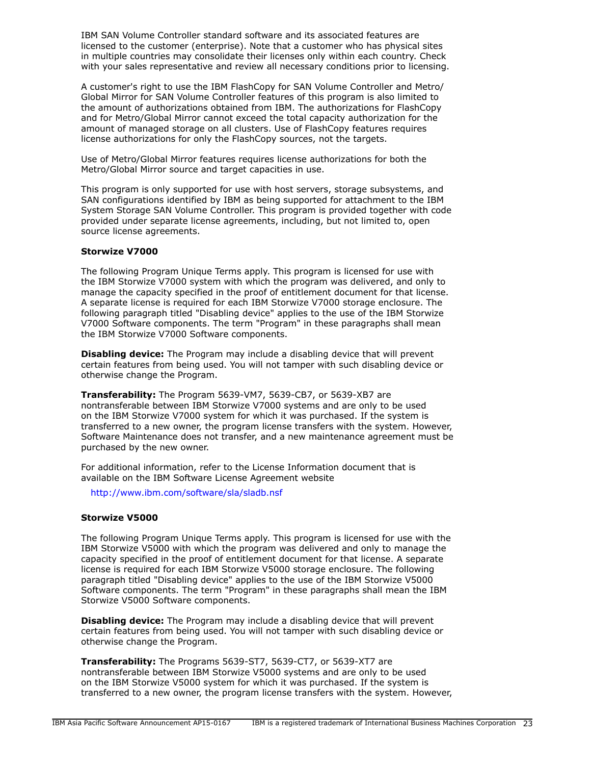IBM SAN Volume Controller standard software and its associated features are licensed to the customer (enterprise). Note that a customer who has physical sites in multiple countries may consolidate their licenses only within each country. Check with your sales representative and review all necessary conditions prior to licensing.

A customer's right to use the IBM FlashCopy for SAN Volume Controller and Metro/ Global Mirror for SAN Volume Controller features of this program is also limited to the amount of authorizations obtained from IBM. The authorizations for FlashCopy and for Metro/Global Mirror cannot exceed the total capacity authorization for the amount of managed storage on all clusters. Use of FlashCopy features requires license authorizations for only the FlashCopy sources, not the targets.

Use of Metro/Global Mirror features requires license authorizations for both the Metro/Global Mirror source and target capacities in use.

This program is only supported for use with host servers, storage subsystems, and SAN configurations identified by IBM as being supported for attachment to the IBM System Storage SAN Volume Controller. This program is provided together with code provided under separate license agreements, including, but not limited to, open source license agreements.

### **Storwize V7000**

The following Program Unique Terms apply. This program is licensed for use with the IBM Storwize V7000 system with which the program was delivered, and only to manage the capacity specified in the proof of entitlement document for that license. A separate license is required for each IBM Storwize V7000 storage enclosure. The following paragraph titled "Disabling device" applies to the use of the IBM Storwize V7000 Software components. The term "Program" in these paragraphs shall mean the IBM Storwize V7000 Software components.

**Disabling device:** The Program may include a disabling device that will prevent certain features from being used. You will not tamper with such disabling device or otherwise change the Program.

**Transferability:** The Program 5639-VM7, 5639-CB7, or 5639-XB7 are nontransferable between IBM Storwize V7000 systems and are only to be used on the IBM Storwize V7000 system for which it was purchased. If the system is transferred to a new owner, the program license transfers with the system. However, Software Maintenance does not transfer, and a new maintenance agreement must be purchased by the new owner.

For additional information, refer to the License Information document that is available on the IBM Software License Agreement website

<http://www.ibm.com/software/sla/sladb.nsf>

### **Storwize V5000**

The following Program Unique Terms apply. This program is licensed for use with the IBM Storwize V5000 with which the program was delivered and only to manage the capacity specified in the proof of entitlement document for that license. A separate license is required for each IBM Storwize V5000 storage enclosure. The following paragraph titled "Disabling device" applies to the use of the IBM Storwize V5000 Software components. The term "Program" in these paragraphs shall mean the IBM Storwize V5000 Software components.

**Disabling device:** The Program may include a disabling device that will prevent certain features from being used. You will not tamper with such disabling device or otherwise change the Program.

**Transferability:** The Programs 5639-ST7, 5639-CT7, or 5639-XT7 are nontransferable between IBM Storwize V5000 systems and are only to be used on the IBM Storwize V5000 system for which it was purchased. If the system is transferred to a new owner, the program license transfers with the system. However,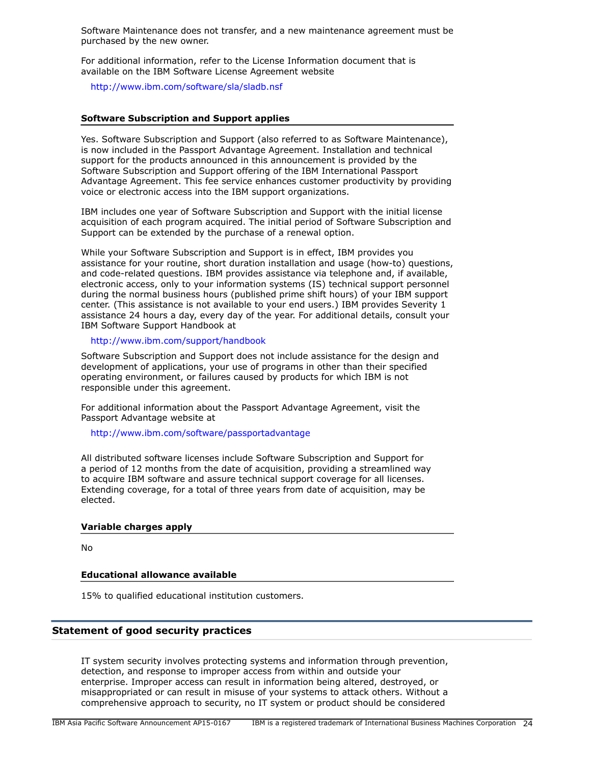Software Maintenance does not transfer, and a new maintenance agreement must be purchased by the new owner.

For additional information, refer to the License Information document that is available on the IBM Software License Agreement website

<http://www.ibm.com/software/sla/sladb.nsf>

### **Software Subscription and Support applies**

Yes. Software Subscription and Support (also referred to as Software Maintenance), is now included in the Passport Advantage Agreement. Installation and technical support for the products announced in this announcement is provided by the Software Subscription and Support offering of the IBM International Passport Advantage Agreement. This fee service enhances customer productivity by providing voice or electronic access into the IBM support organizations.

IBM includes one year of Software Subscription and Support with the initial license acquisition of each program acquired. The initial period of Software Subscription and Support can be extended by the purchase of a renewal option.

While your Software Subscription and Support is in effect, IBM provides you assistance for your routine, short duration installation and usage (how-to) questions, and code-related questions. IBM provides assistance via telephone and, if available, electronic access, only to your information systems (IS) technical support personnel during the normal business hours (published prime shift hours) of your IBM support center. (This assistance is not available to your end users.) IBM provides Severity 1 assistance 24 hours a day, every day of the year. For additional details, consult your IBM Software Support Handbook at

# <http://www.ibm.com/support/handbook>

Software Subscription and Support does not include assistance for the design and development of applications, your use of programs in other than their specified operating environment, or failures caused by products for which IBM is not responsible under this agreement.

For additional information about the Passport Advantage Agreement, visit the Passport Advantage website at

#### <http://www.ibm.com/software/passportadvantage>

All distributed software licenses include Software Subscription and Support for a period of 12 months from the date of acquisition, providing a streamlined way to acquire IBM software and assure technical support coverage for all licenses. Extending coverage, for a total of three years from date of acquisition, may be elected.

### **Variable charges apply**

No

## **Educational allowance available**

15% to qualified educational institution customers.

## **Statement of good security practices**

IT system security involves protecting systems and information through prevention, detection, and response to improper access from within and outside your enterprise. Improper access can result in information being altered, destroyed, or misappropriated or can result in misuse of your systems to attack others. Without a comprehensive approach to security, no IT system or product should be considered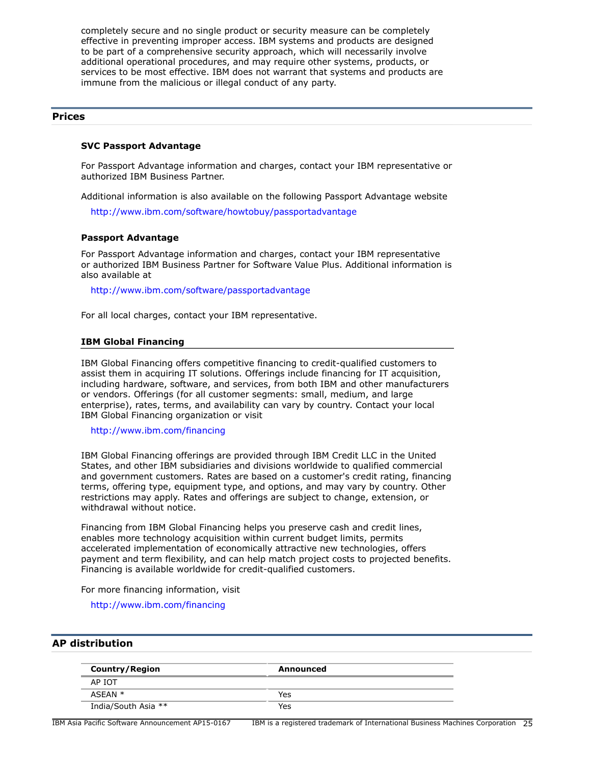completely secure and no single product or security measure can be completely effective in preventing improper access. IBM systems and products are designed to be part of a comprehensive security approach, which will necessarily involve additional operational procedures, and may require other systems, products, or services to be most effective. IBM does not warrant that systems and products are immune from the malicious or illegal conduct of any party.

# <span id="page-24-0"></span>**Prices**

#### **SVC Passport Advantage**

For Passport Advantage information and charges, contact your IBM representative or authorized IBM Business Partner.

Additional information is also available on the following Passport Advantage website

[http://www.ibm.com/software/howtobuy/passportadvantage](http://www.ibm.com/software/howtobuy/passportadvantage/)

### **Passport Advantage**

For Passport Advantage information and charges, contact your IBM representative or authorized IBM Business Partner for Software Value Plus. Additional information is also available at

<http://www.ibm.com/software/passportadvantage>

For all local charges, contact your IBM representative.

#### **IBM Global Financing**

IBM Global Financing offers competitive financing to credit-qualified customers to assist them in acquiring IT solutions. Offerings include financing for IT acquisition, including hardware, software, and services, from both IBM and other manufacturers or vendors. Offerings (for all customer segments: small, medium, and large enterprise), rates, terms, and availability can vary by country. Contact your local IBM Global Financing organization or visit

<http://www.ibm.com/financing>

IBM Global Financing offerings are provided through IBM Credit LLC in the United States, and other IBM subsidiaries and divisions worldwide to qualified commercial and government customers. Rates are based on a customer's credit rating, financing terms, offering type, equipment type, and options, and may vary by country. Other restrictions may apply. Rates and offerings are subject to change, extension, or withdrawal without notice.

Financing from IBM Global Financing helps you preserve cash and credit lines, enables more technology acquisition within current budget limits, permits accelerated implementation of economically attractive new technologies, offers payment and term flexibility, and can help match project costs to projected benefits. Financing is available worldwide for credit-qualified customers.

For more financing information, visit

<http://www.ibm.com/financing>

# <span id="page-24-1"></span>**AP distribution**

| <b>Country/Region</b> | Announced |
|-----------------------|-----------|
| AP IOT                |           |
| ASEAN *               | Yes       |
| India/South Asia **   | Yes       |